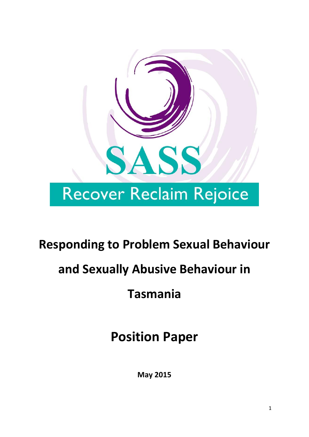

## **Responding to Problem Sexual Behaviour**

# **and Sexually Abusive Behaviour in**

## **Tasmania**

**Position Paper**

**May 2015**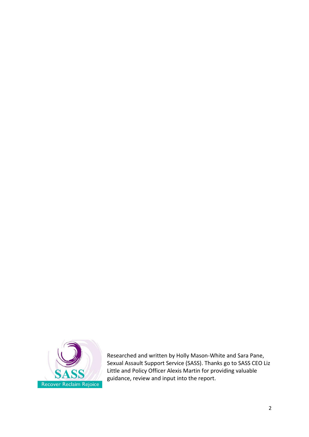

Researched and written by Holly Mason-White and Sara Pane, Sexual Assault Support Service (SASS). Thanks go to SASS CEO Liz Little and Policy Officer Alexis Martin for providing valuable guidance, review and input into the report.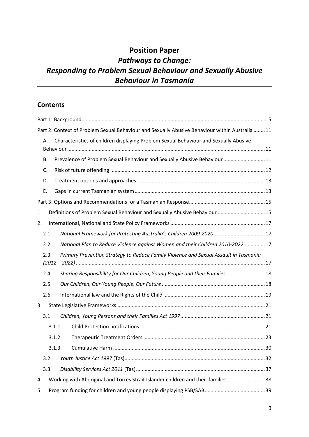## **Position Paper** *Pathways to Change: Responding to Problem Sexual Behaviour and Sexually Abusive Behaviour in Tasmania*

## **Contents**

| Part 2: Context of Problem Sexual Behaviour and Sexually Abusive Behaviour within Australia  11 |       |                                                                                      |     |  |  |
|-------------------------------------------------------------------------------------------------|-------|--------------------------------------------------------------------------------------|-----|--|--|
| А.                                                                                              |       | Characteristics of children displaying Problem Sexual Behaviour and Sexually Abusive |     |  |  |
|                                                                                                 |       |                                                                                      |     |  |  |
| В.                                                                                              |       | Prevalence of Problem Sexual Behaviour and Sexually Abusive Behaviour 11             |     |  |  |
| C.                                                                                              |       |                                                                                      |     |  |  |
| D.                                                                                              |       |                                                                                      |     |  |  |
| Ε.                                                                                              |       |                                                                                      |     |  |  |
|                                                                                                 |       |                                                                                      |     |  |  |
| 1.                                                                                              |       | Definitions of Problem Sexual Behaviour and Sexually Abusive Behaviour  15           |     |  |  |
| 2.                                                                                              |       |                                                                                      |     |  |  |
|                                                                                                 | 2.1   |                                                                                      |     |  |  |
|                                                                                                 | 2.2   | National Plan to Reduce Violence against Women and their Children 2010-202217        |     |  |  |
|                                                                                                 | 2.3   | Primary Prevention Strategy to Reduce Family Violence and Sexual Assault in Tasmania |     |  |  |
|                                                                                                 |       |                                                                                      |     |  |  |
|                                                                                                 |       |                                                                                      |     |  |  |
|                                                                                                 | 2.4   | Sharing Responsibility for Our Children, Young People and their Families  18         |     |  |  |
|                                                                                                 | 2.5   |                                                                                      |     |  |  |
|                                                                                                 | 2.6   |                                                                                      |     |  |  |
| 3.                                                                                              |       |                                                                                      |     |  |  |
|                                                                                                 | 3.1   |                                                                                      |     |  |  |
|                                                                                                 | 3.1.1 |                                                                                      |     |  |  |
|                                                                                                 | 3.1.2 |                                                                                      |     |  |  |
|                                                                                                 | 3.1.3 |                                                                                      | .30 |  |  |
|                                                                                                 | 3.2   |                                                                                      |     |  |  |
|                                                                                                 | 3.3   |                                                                                      |     |  |  |
| 4.                                                                                              |       | Working with Aboriginal and Torres Strait Islander children and their families 38    |     |  |  |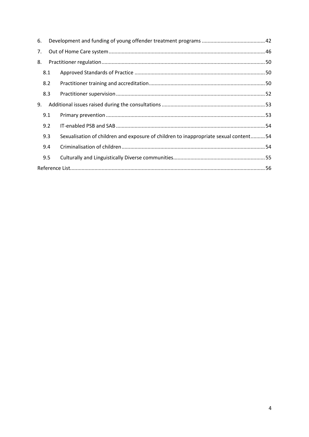| 6. |     |                                                                                      |  |  |  |
|----|-----|--------------------------------------------------------------------------------------|--|--|--|
| 7. |     |                                                                                      |  |  |  |
| 8. |     |                                                                                      |  |  |  |
|    | 8.1 |                                                                                      |  |  |  |
|    | 8.2 |                                                                                      |  |  |  |
|    | 8.3 |                                                                                      |  |  |  |
| 9. |     |                                                                                      |  |  |  |
|    | 9.1 |                                                                                      |  |  |  |
|    | 9.2 |                                                                                      |  |  |  |
|    | 9.3 | Sexualisation of children and exposure of children to inappropriate sexual content54 |  |  |  |
|    | 9.4 |                                                                                      |  |  |  |
|    | 9.5 |                                                                                      |  |  |  |
|    |     |                                                                                      |  |  |  |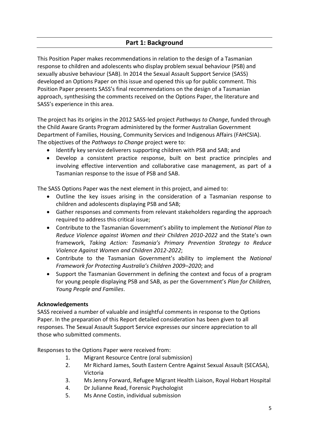<span id="page-4-0"></span>This Position Paper makes recommendations in relation to the design of a Tasmanian response to children and adolescents who display problem sexual behaviour (PSB) and sexually abusive behaviour (SAB). In 2014 the Sexual Assault Support Service (SASS) developed an Options Paper on this issue and opened this up for public comment. This Position Paper presents SASS's final recommendations on the design of a Tasmanian approach, synthesising the comments received on the Options Paper, the literature and SASS's experience in this area.

The project has its origins in the 2012 SASS-led project *Pathways to Change*, funded through the Child Aware Grants Program administered by the former Australian Government Department of Families, Housing, Community Services and Indigenous Affairs (FAHCSIA). The objectives of the *Pathways to Change* project were to:

- Identify key service deliverers supporting children with PSB and SAB; and
- Develop a consistent practice response, built on best practice principles and involving effective intervention and collaborative case management, as part of a Tasmanian response to the issue of PSB and SAB.

The SASS Options Paper was the next element in this project, and aimed to:

- Outline the key issues arising in the consideration of a Tasmanian response to children and adolescents displaying PSB and SAB;
- Gather responses and comments from relevant stakeholders regarding the approach required to address this critical issue;
- Contribute to the Tasmanian Government's ability to implement the *National Plan to Reduce Violence against Women and their Children 2010-2022* and the State's own framework, *Taking Action: Tasmania's Primary Prevention Strategy to Reduce Violence Against Women and Children 2012-2022*;
- Contribute to the Tasmanian Government's ability to implement the *National Framework for Protecting Australia's Children 2009–2020*; and
- Support the Tasmanian Government in defining the context and focus of a program for young people displaying PSB and SAB, as per the Government's *Plan for Children, Young People and Families*.

#### **Acknowledgements**

SASS received a number of valuable and insightful comments in response to the Options Paper. In the preparation of this Report detailed consideration has been given to all responses. The Sexual Assault Support Service expresses our sincere appreciation to all those who submitted comments.

Responses to the Options Paper were received from:

- 1. Migrant Resource Centre (oral submission)
- 2. Mr Richard James, South Eastern Centre Against Sexual Assault (SECASA), Victoria
- 3. Ms Jenny Forward, Refugee Migrant Health Liaison, Royal Hobart Hospital
- 4. Dr Julianne Read, Forensic Psychologist
- 5. Ms Anne Costin, individual submission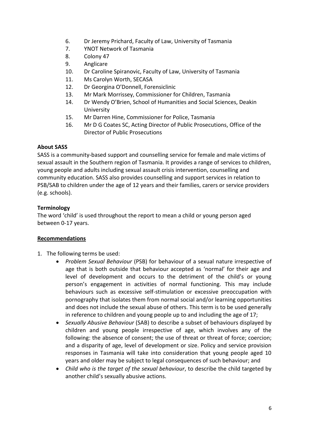- 6. Dr Jeremy Prichard, Faculty of Law, University of Tasmania
- 7. YNOT Network of Tasmania
- 8. Colony 47
- 9. Anglicare
- 10. Dr Caroline Spiranovic, Faculty of Law, University of Tasmania
- 11. Ms Carolyn Worth, SECASA
- 12. Dr Georgina O'Donnell, Forensiclinic
- 13. Mr Mark Morrissey, Commissioner for Children, Tasmania
- 14. Dr Wendy O'Brien, School of Humanities and Social Sciences, Deakin University
- 15. Mr Darren Hine, Commissioner for Police, Tasmania
- 16. Mr D G Coates SC, Acting Director of Public Prosecutions, Office of the Director of Public Prosecutions

#### **About SASS**

SASS is a community-based support and counselling service for female and male victims of sexual assault in the Southern region of Tasmania. It provides a range of services to children, young people and adults including sexual assault crisis intervention, counselling and community education. SASS also provides counselling and support services in relation to PSB/SAB to children under the age of 12 years and their families, carers or service providers (e.g. schools).

#### **Terminology**

The word 'child' is used throughout the report to mean a child or young person aged between 0-17 years.

#### **Recommendations**

- 1. The following terms be used:
	- *Problem Sexual Behaviour* (PSB) for behaviour of a sexual nature irrespective of age that is both outside that behaviour accepted as 'normal' for their age and level of development and occurs to the detriment of the child's or young person's engagement in activities of normal functioning. This may include behaviours such as excessive self-stimulation or excessive preoccupation with pornography that isolates them from normal social and/or learning opportunities and does not include the sexual abuse of others. This term is to be used generally in reference to children and young people up to and including the age of 17;
	- *Sexually Abusive Behaviour* (SAB) to describe a subset of behaviours displayed by children and young people irrespective of age, which involves any of the following: the absence of consent; the use of threat or threat of force; coercion; and a disparity of age, level of development or size. Policy and service provision responses in Tasmania will take into consideration that young people aged 10 years and older may be subject to legal consequences of such behaviour; and
	- *Child who is the target of the sexual behaviour*, to describe the child targeted by another child's sexually abusive actions.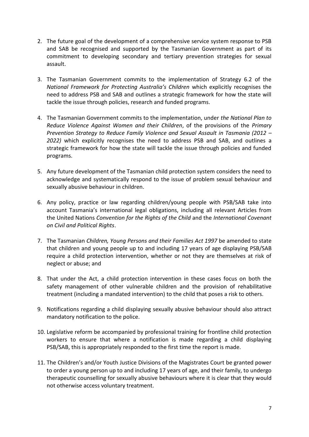- 2. The future goal of the development of a comprehensive service system response to PSB and SAB be recognised and supported by the Tasmanian Government as part of its commitment to developing secondary and tertiary prevention strategies for sexual assault.
- 3. The Tasmanian Government commits to the implementation of Strategy 6.2 of the *National Framework for Protecting Australia's Children* which explicitly recognises the need to address PSB and SAB and outlines a strategic framework for how the state will tackle the issue through policies, research and funded programs.
- 4. The Tasmanian Government commits to the implementation, under *the National Plan to Reduce Violence Against Women and their Children*, of the provisions of the *Primary Prevention Strategy to Reduce Family Violence and Sexual Assault in Tasmania (2012 – 2022)* which explicitly recognises the need to address PSB and SAB, and outlines a strategic framework for how the state will tackle the issue through policies and funded programs.
- 5. Any future development of the Tasmanian child protection system considers the need to acknowledge and systematically respond to the issue of problem sexual behaviour and sexually abusive behaviour in children.
- 6. Any policy, practice or law regarding children/young people with PSB/SAB take into account Tasmania's international legal obligations, including all relevant Articles from the United Nations *Convention for the Rights of the Child* and the *International Covenant on Civil and Political Rights*.
- 7. The Tasmanian *Children, Young Persons and their Families Act 1997* be amended to state that children and young people up to and including 17 years of age displaying PSB/SAB require a child protection intervention, whether or not they are themselves at risk of neglect or abuse; and
- 8. That under the Act, a child protection intervention in these cases focus on both the safety management of other vulnerable children and the provision of rehabilitative treatment (including a mandated intervention) to the child that poses a risk to others.
- 9. Notifications regarding a child displaying sexually abusive behaviour should also attract mandatory notification to the police.
- 10. Legislative reform be accompanied by professional training for frontline child protection workers to ensure that where a notification is made regarding a child displaying PSB/SAB, this is appropriately responded to the first time the report is made.
- 11. The Children's and/or Youth Justice Divisions of the Magistrates Court be granted power to order a young person up to and including 17 years of age, and their family, to undergo therapeutic counselling for sexually abusive behaviours where it is clear that they would not otherwise access voluntary treatment.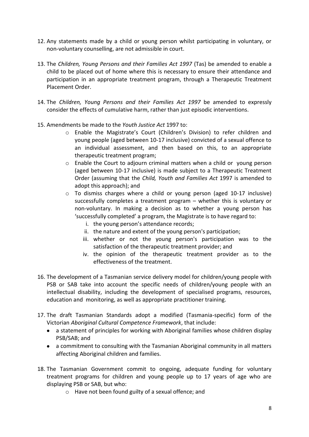- 12. Any statements made by a child or young person whilst participating in voluntary, or non-voluntary counselling, are not admissible in court.
- 13. The *Children, Young Persons and their Families Act 1997* (Tas) be amended to enable a child to be placed out of home where this is necessary to ensure their attendance and participation in an appropriate treatment program, through a Therapeutic Treatment Placement Order.
- 14. The *Children, Young Persons and their Families Act 1997* be amended to expressly consider the effects of cumulative harm, rather than just episodic interventions.
- 15. Amendments be made to the *Youth Justice Act* 1997 to:
	- o Enable the Magistrate's Court (Children's Division) to refer children and young people (aged between 10-17 inclusive) convicted of a sexual offence to an individual assessment, and then based on this, to an appropriate therapeutic treatment program;
	- $\circ$  Enable the Court to adjourn criminal matters when a child or young person (aged between 10-17 inclusive) is made subject to a Therapeutic Treatment Order (assuming that the *Child, Youth and Families Act* 1997 is amended to adopt this approach); and
	- $\circ$  To dismiss charges where a child or young person (aged 10-17 inclusive) successfully completes a treatment program – whether this is voluntary or non-voluntary. In making a decision as to whether a young person has 'successfully completed' a program, the Magistrate is to have regard to:
		- i. the young person's attendance records;
		- ii. the nature and extent of the young person's participation;
		- iii. whether or not the young person's participation was to the satisfaction of the therapeutic treatment provider; and
		- iv. the opinion of the therapeutic treatment provider as to the effectiveness of the treatment.
- 16. The development of a Tasmanian service delivery model for children/young people with PSB or SAB take into account the specific needs of children/young people with an intellectual disability, including the development of specialised programs, resources, education and monitoring, as well as appropriate practitioner training.
- 17. The draft Tasmanian Standards adopt a modified (Tasmania-specific) form of the Victorian *Aboriginal Cultural Competence Framework*, that include:
	- a statement of principles for working with Aboriginal families whose children display PSB/SAB; and
	- a commitment to consulting with the Tasmanian Aboriginal community in all matters affecting Aboriginal children and families.
- 18. The Tasmanian Government commit to ongoing, adequate funding for voluntary treatment programs for children and young people up to 17 years of age who are displaying PSB or SAB, but who:
	- o Have not been found guilty of a sexual offence; and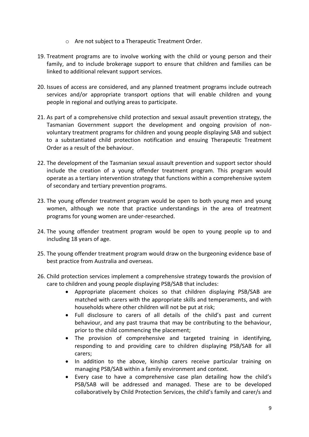- o Are not subject to a Therapeutic Treatment Order.
- 19. Treatment programs are to involve working with the child or young person and their family, and to include brokerage support to ensure that children and families can be linked to additional relevant support services.
- 20. Issues of access are considered, and any planned treatment programs include outreach services and/or appropriate transport options that will enable children and young people in regional and outlying areas to participate.
- 21. As part of a comprehensive child protection and sexual assault prevention strategy, the Tasmanian Government support the development and ongoing provision of nonvoluntary treatment programs for children and young people displaying SAB and subject to a substantiated child protection notification and ensuing Therapeutic Treatment Order as a result of the behaviour.
- 22. The development of the Tasmanian sexual assault prevention and support sector should include the creation of a young offender treatment program. This program would operate as a tertiary intervention strategy that functions within a comprehensive system of secondary and tertiary prevention programs.
- 23. The young offender treatment program would be open to both young men and young women, although we note that practice understandings in the area of treatment programs for young women are under-researched.
- 24. The young offender treatment program would be open to young people up to and including 18 years of age.
- 25. The young offender treatment program would draw on the burgeoning evidence base of best practice from Australia and overseas.
- 26. Child protection services implement a comprehensive strategy towards the provision of care to children and young people displaying PSB/SAB that includes:
	- Appropriate placement choices so that children displaying PSB/SAB are matched with carers with the appropriate skills and temperaments, and with households where other children will not be put at risk;
	- Full disclosure to carers of all details of the child's past and current behaviour, and any past trauma that may be contributing to the behaviour, prior to the child commencing the placement;
	- The provision of comprehensive and targeted training in identifying, responding to and providing care to children displaying PSB/SAB for all carers;
	- In addition to the above, kinship carers receive particular training on managing PSB/SAB within a family environment and context.
	- Every case to have a comprehensive case plan detailing how the child's PSB/SAB will be addressed and managed. These are to be developed collaboratively by Child Protection Services, the child's family and carer/s and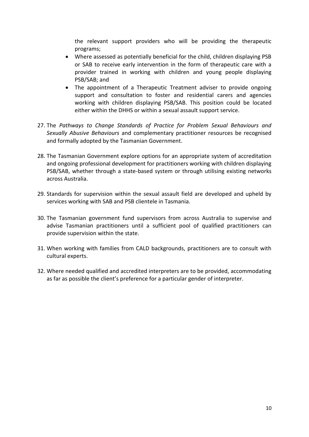the relevant support providers who will be providing the therapeutic programs;

- Where assessed as potentially beneficial for the child, children displaying PSB or SAB to receive early intervention in the form of therapeutic care with a provider trained in working with children and young people displaying PSB/SAB; and
- The appointment of a Therapeutic Treatment adviser to provide ongoing support and consultation to foster and residential carers and agencies working with children displaying PSB/SAB. This position could be located either within the DHHS or within a sexual assault support service.
- 27. The *Pathways to Change Standards of Practice for Problem Sexual Behaviours and Sexually Abusive Behaviours* and complementary practitioner resources be recognised and formally adopted by the Tasmanian Government.
- 28. The Tasmanian Government explore options for an appropriate system of accreditation and ongoing professional development for practitioners working with children displaying PSB/SAB, whether through a state-based system or through utilising existing networks across Australia.
- 29. Standards for supervision within the sexual assault field are developed and upheld by services working with SAB and PSB clientele in Tasmania.
- 30. The Tasmanian government fund supervisors from across Australia to supervise and advise Tasmanian practitioners until a sufficient pool of qualified practitioners can provide supervision within the state.
- 31. When working with families from CALD backgrounds, practitioners are to consult with cultural experts.
- 32. Where needed qualified and accredited interpreters are to be provided, accommodating as far as possible the client's preference for a particular gender of interpreter.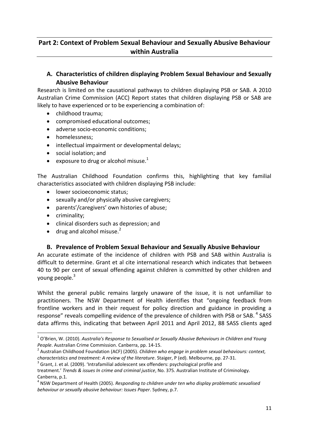## <span id="page-10-0"></span>**Part 2: Context of Problem Sexual Behaviour and Sexually Abusive Behaviour within Australia**

## <span id="page-10-1"></span>**A. Characteristics of children displaying Problem Sexual Behaviour and Sexually Abusive Behaviour**

Research is limited on the causational pathways to children displaying PSB or SAB. A 2010 Australian Crime Commission (ACC) Report states that children displaying PSB or SAB are likely to have experienced or to be experiencing a combination of:

- childhood trauma:
- compromised educational outcomes;
- adverse socio-economic conditions;
- homelessness;
- intellectual impairment or developmental delays;
- social isolation; and
- exposure to drug or alcohol misuse.<sup>1</sup>

The Australian Childhood Foundation confirms this, highlighting that key familial characteristics associated with children displaying PSB include:

- **.** lower socioeconomic status;
- sexually and/or physically abusive caregivers;
- parents'/caregivers' own histories of abuse;
- criminality;

 $\overline{a}$ 

- clinical disorders such as depression; and
- $\bullet$  drug and alcohol misuse.<sup>2</sup>

#### **B. Prevalence of Problem Sexual Behaviour and Sexually Abusive Behaviour**

<span id="page-10-2"></span>An accurate estimate of the incidence of children with PSB and SAB within Australia is difficult to determine. Grant et al cite international research which indicates that between 40 to 90 per cent of sexual offending against children is committed by other children and young people.<sup>3</sup>

Whilst the general public remains largely unaware of the issue, it is not unfamiliar to practitioners. The NSW Department of Health identifies that "ongoing feedback from frontline workers and in their request for policy direction and guidance in providing a response" reveals compelling evidence of the prevalence of children with PSB or SAB.<sup>4</sup> SASS data affirms this, indicating that between April 2011 and April 2012, 88 SASS clients aged

<sup>1</sup> O'Brien, W. (2010). *Australia's Response to Sexualised or Sexually Abusive Behaviours in Children and Young People*. Australian Crime Commission. Canberra, pp. 14-15.

<sup>2</sup> Australian Childhood Foundation (ACF) (2005). *Children who engage in problem sexual behaviours: context, characteristics and treatment: A review of the literature*. Staiger, P (ed). Melbourne, pp. 27-31.

 $3$  Grant, J. et al. (2009). 'Intrafamilial adolescent sex offenders: psychological profile and

treatment.' *Trends & issues In crime and criminal justice*, No. 375. Australian Institute of Criminology. Canberra, p.1.

<sup>4</sup> NSW Department of Health (2005). *Responding to children under ten who display problematic sexualised behaviour or sexually abusive behaviour: Issues Paper*. Sydney, p.7.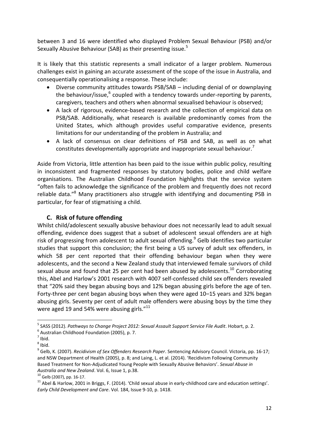between 3 and 16 were identified who displayed Problem Sexual Behaviour (PSB) and/or Sexually Abusive Behaviour (SAB) as their presenting issue.<sup>5</sup>

It is likely that this statistic represents a small indicator of a larger problem. Numerous challenges exist in gaining an accurate assessment of the scope of the issue in Australia, and consequentially operationalising a response. These include:

- Diverse community attitudes towards PSB/SAB including denial of or downplaying the behaviour/issue, <sup>6</sup> coupled with a tendency towards under-reporting by parents, caregivers, teachers and others when abnormal sexualised behaviour is observed;
- A lack of rigorous, evidence-based research and the collection of empirical data on PSB/SAB. Additionally, what research is available predominantly comes from the United States, which although provides useful comparative evidence, presents limitations for our understanding of the problem in Australia; and
- A lack of consensus on clear definitions of PSB and SAB, as well as on what constitutes developmentally appropriate and inappropriate sexual behaviour.<sup>7</sup>

Aside from Victoria, little attention has been paid to the issue within public policy, resulting in inconsistent and fragmented responses by statutory bodies, police and child welfare organisations. The Australian Childhood Foundation highlights that the service system "often fails to acknowledge the significance of the problem and frequently does not record reliable data."<sup>8</sup> Many practitioners also struggle with identifying and documenting PSB in particular, for fear of stigmatising a child.

### **C. Risk of future offending**

<span id="page-11-0"></span>Whilst child/adolescent sexually abusive behaviour does not necessarily lead to adult sexual offending, evidence does suggest that a subset of adolescent sexual offenders are at high risk of progressing from adolescent to adult sexual offending.<sup>9</sup> Gelb identifies two particular studies that support this conclusion; the first being a US survey of adult sex offenders, in which 58 per cent reported that their offending behaviour began when they were adolescents, and the second a New Zealand study that interviewed female survivors of child sexual abuse and found that 25 per cent had been abused by adolescents.<sup>10</sup> Corroborating this, Abel and Harlow's 2001 research with 4007 self-confessed child sex offenders revealed that "20% said they began abusing boys and 12% began abusing girls before the age of ten. Forty-three per cent began abusing boys when they were aged 10–15 years and 32% began abusing girls. Seventy per cent of adult male offenders were abusing boys by the time they were aged 19 and 54% were abusing girls."<sup>11</sup>

1

<sup>5</sup> SASS (2012). *Pathways to Change Project 2012: Sexual Assault Support Service File Audit*. Hobart, p. 2.

 $<sup>6</sup>$  Australian Childhood Foundation (2005), p. 7.</sup>

 $<sup>7</sup>$  Ibid.</sup>

 $<sup>8</sup>$  Ibid.</sup>

<sup>9</sup> Gelb, K. (2007). *Recidivism of Sex Offenders Research Paper*. Sentencing Advisory Council. Victoria, pp. 16-17; and NSW Department of Health (2005), p. 8; and Laing, L. et al. (2014). 'Recidivism Following Community Based Treatment for Non-Adjudicated Young People with Sexually Abusive Behaviors'. *Sexual Abuse in Australia and New Zealand*. Vol. 6, Issue 1, p.38.

<sup>10</sup> Gelb (2007), pp. 16-17.

 $11$  Abel & Harlow, 2001 in Briggs, F. (2014). 'Child sexual abuse in early-childhood care and education settings'. *Early Child Development and Care*. Vol. 184, Issue 9-10, p. 1418.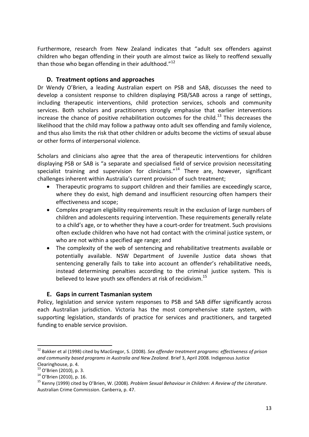Furthermore, research from New Zealand indicates that "adult sex offenders against children who began offending in their youth are almost twice as likely to reoffend sexually than those who began offending in their adulthood."<sup>12</sup>

### **D. Treatment options and approaches**

<span id="page-12-0"></span>Dr Wendy O'Brien, a leading Australian expert on PSB and SAB, discusses the need to develop a consistent response to children displaying PSB/SAB across a range of settings, including therapeutic interventions, child protection services, schools and community services. Both scholars and practitioners strongly emphasise that earlier interventions increase the chance of positive rehabilitation outcomes for the child.<sup>13</sup> This decreases the likelihood that the child may follow a pathway onto adult sex offending and family violence, and thus also limits the risk that other children or adults become the victims of sexual abuse or other forms of interpersonal violence.

Scholars and clinicians also agree that the area of therapeutic interventions for children displaying PSB or SAB is "a separate and specialised field of service provision necessitating specialist training and supervision for clinicians." $14$  There are, however, significant challenges inherent within Australia's current provision of such treatment;

- Therapeutic programs to support children and their families are exceedingly scarce, where they do exist, high demand and insufficient resourcing often hampers their effectiveness and scope;
- Complex program eligibility requirements result in the exclusion of large numbers of children and adolescents requiring intervention. These requirements generally relate to a child's age, or to whether they have a court-order for treatment. Such provisions often exclude children who have not had contact with the criminal justice system, or who are not within a specified age range; and
- The complexity of the web of sentencing and rehabilitative treatments available or potentially available. NSW Department of Juvenile Justice data shows that sentencing generally fails to take into account an offender's rehabilitative needs, instead determining penalties according to the criminal justice system. This is believed to leave youth sex offenders at risk of recidivism.<sup>15</sup>

#### **E. Gaps in current Tasmanian system**

<span id="page-12-1"></span>Policy, legislation and service system responses to PSB and SAB differ significantly across each Australian jurisdiction. Victoria has the most comprehensive state system, with supporting legislation, standards of practice for services and practitioners, and targeted funding to enable service provision.

**.** 

<sup>12</sup> Bakker et al (1998) cited by MacGregor, S. (2008). *Sex offender treatment programs: effectiveness of prison and community based programs in Australia and New Zealand*. Brief 3, April 2008. Indigenous Justice Clearinghouse, p. 4.

<sup>&</sup>lt;sup>13</sup> O'Brien (2010), p. 3.

<sup>&</sup>lt;sup>14</sup> O'Brien (2010), p. 16.

<sup>15</sup> Kenny (1999) cited by O'Brien, W. (2008). *Problem Sexual Behaviour in Children: A Review of the Literature*. Australian Crime Commission. Canberra, p. 47.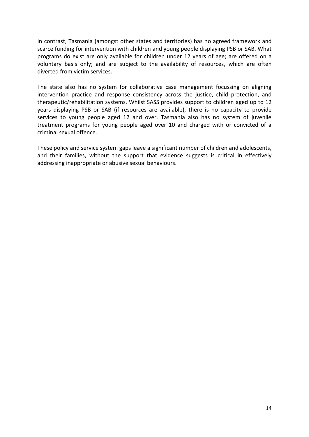In contrast, Tasmania (amongst other states and territories) has no agreed framework and scarce funding for intervention with children and young people displaying PSB or SAB. What programs do exist are only available for children under 12 years of age; are offered on a voluntary basis only; and are subject to the availability of resources, which are often diverted from victim services.

The state also has no system for collaborative case management focussing on aligning intervention practice and response consistency across the justice, child protection, and therapeutic/rehabilitation systems. Whilst SASS provides support to children aged up to 12 years displaying PSB or SAB (if resources are available), there is no capacity to provide services to young people aged 12 and over. Tasmania also has no system of juvenile treatment programs for young people aged over 10 and charged with or convicted of a criminal sexual offence.

These policy and service system gaps leave a significant number of children and adolescents, and their families, without the support that evidence suggests is critical in effectively addressing inappropriate or abusive sexual behaviours.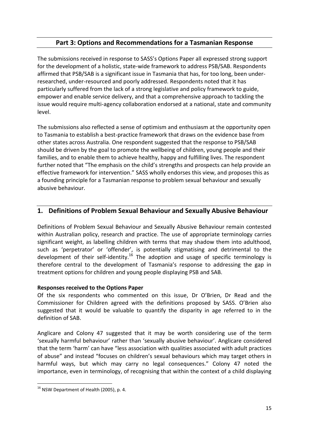## **Part 3: Options and Recommendations for a Tasmanian Response**

<span id="page-14-0"></span>The submissions received in response to SASS's Options Paper all expressed strong support for the development of a holistic, state-wide framework to address PSB/SAB. Respondents affirmed that PSB/SAB is a significant issue in Tasmania that has, for too long, been underresearched, under-resourced and poorly addressed. Respondents noted that it has particularly suffered from the lack of a strong legislative and policy framework to guide, empower and enable service delivery, and that a comprehensive approach to tackling the issue would require multi-agency collaboration endorsed at a national, state and community level.

The submissions also reflected a sense of optimism and enthusiasm at the opportunity open to Tasmania to establish a best-practice framework that draws on the evidence base from other states across Australia. One respondent suggested that the response to PSB/SAB should be driven by the goal to promote the wellbeing of children, young people and their families, and to enable them to achieve healthy, happy and fulfilling lives. The respondent further noted that "The emphasis on the child's strengths and prospects can help provide an effective framework for intervention." SASS wholly endorses this view, and proposes this as a founding principle for a Tasmanian response to problem sexual behaviour and sexually abusive behaviour.

## <span id="page-14-1"></span>**1. Definitions of Problem Sexual Behaviour and Sexually Abusive Behaviour**

Definitions of Problem Sexual Behaviour and Sexually Abusive Behaviour remain contested within Australian policy, research and practice. The use of appropriate terminology carries significant weight, as labelling children with terms that may shadow them into adulthood, such as 'perpetrator' or 'offender', is potentially stigmatising and detrimental to the development of their self-identity.<sup>16</sup> The adoption and usage of specific terminology is therefore central to the development of Tasmania's response to addressing the gap in treatment options for children and young people displaying PSB and SAB.

#### **Responses received to the Options Paper**

Of the six respondents who commented on this issue, Dr O'Brien, Dr Read and the Commissioner for Children agreed with the definitions proposed by SASS. O'Brien also suggested that it would be valuable to quantify the disparity in age referred to in the definition of SAB.

Anglicare and Colony 47 suggested that it may be worth considering use of the term 'sexually harmful behaviour' rather than 'sexually abusive behaviour'. Anglicare considered that the term 'harm' can have "less association with qualities associated with adult practices of abuse" and instead "focuses on children's sexual behaviours which may target others in harmful ways, but which may carry no legal consequences." Colony 47 noted the importance, even in terminology, of recognising that within the context of a child displaying

**<sup>.</sup>** <sup>16</sup> NSW Department of Health (2005), p. 4.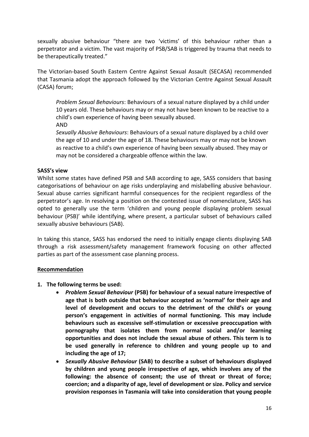sexually abusive behaviour "there are two 'victims' of this behaviour rather than a perpetrator and a victim. The vast majority of PSB/SAB is triggered by trauma that needs to be therapeutically treated."

The Victorian-based South Eastern Centre Against Sexual Assault (SECASA) recommended that Tasmania adopt the approach followed by the Victorian Centre Against Sexual Assault (CASA) forum;

*Problem Sexual Behaviours*: Behaviours of a sexual nature displayed by a child under 10 years old. These behaviours may or may not have been known to be reactive to a child's own experience of having been sexually abused.

AND

*Sexually Abusive Behaviours*: Behaviours of a sexual nature displayed by a child over the age of 10 and under the age of 18. These behaviours may or may not be known as reactive to a child's own experience of having been sexually abused. They may or may not be considered a chargeable offence within the law.

#### **SASS's view**

Whilst some states have defined PSB and SAB according to age, SASS considers that basing categorisations of behaviour on age risks underplaying and mislabelling abusive behaviour. Sexual abuse carries significant harmful consequences for the recipient regardless of the perpetrator's age. In resolving a position on the contested issue of nomenclature, SASS has opted to generally use the term 'children and young people displaying problem sexual behaviour (PSB)' while identifying, where present, a particular subset of behaviours called sexually abusive behaviours (SAB).

In taking this stance, SASS has endorsed the need to initially engage clients displaying SAB through a risk assessment/safety management framework focusing on other affected parties as part of the assessment case planning process.

## **Recommendation**

- **1. The following terms be used:** 
	- *Problem Sexual Behaviour* **(PSB) for behaviour of a sexual nature irrespective of age that is both outside that behaviour accepted as 'normal' for their age and level of development and occurs to the detriment of the child's or young person's engagement in activities of normal functioning. This may include behaviours such as excessive self-stimulation or excessive preoccupation with pornography that isolates them from normal social and/or learning opportunities and does not include the sexual abuse of others. This term is to be used generally in reference to children and young people up to and including the age of 17;**
	- *Sexually Abusive Behaviour* **(SAB) to describe a subset of behaviours displayed by children and young people irrespective of age, which involves any of the following: the absence of consent; the use of threat or threat of force; coercion; and a disparity of age, level of development or size. Policy and service provision responses in Tasmania will take into consideration that young people**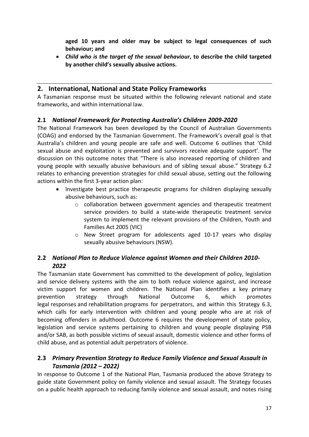**aged 10 years and older may be subject to legal consequences of such behaviour; and**

 *Child who is the target of the sexual behaviour***, to describe the child targeted by another child's sexually abusive actions.**

## <span id="page-16-0"></span>**2. International, National and State Policy Frameworks**

A Tasmanian response must be situated within the following relevant national and state frameworks, and within international law.

## <span id="page-16-1"></span>**2.1** *National Framework for Protecting Australia's Children 2009-2020*

The National Framework has been developed by the Council of Australian Governments (COAG) and endorsed by the Tasmanian Government. The Framework's overall goal is that Australia's children and young people are safe and well. Outcome 6 outlines that 'Child sexual abuse and exploitation is prevented and survivors receive adequate support'. The discussion on this outcome notes that "There is also increased reporting of children and young people with sexually abusive behaviours and of sibling sexual abuse." Strategy 6.2 relates to enhancing prevention strategies for child sexual abuse, setting out the following actions within the first 3-year action plan:

- Investigate best practice therapeutic programs for children displaying sexually abusive behaviours, such as:
	- o collaboration between government agencies and therapeutic treatment service providers to build a state-wide therapeutic treatment service system to implement the relevant provisions of the Children, Youth and Families Act 2005 (VIC)
	- $\circ$  New Street program for adolescents aged 10-17 years who display sexually abusive behaviours (NSW).

## <span id="page-16-2"></span>**2.2** *National Plan to Reduce Violence against Women and their Children 2010- 2022*

The Tasmanian state Government has committed to the development of policy, legislation and service delivery systems with the aim to both reduce violence against, and increase victim support for women and children. The National Plan identifies a key primary prevention strategy through National Outcome 6, which promotes legal responses and rehabilitation programs for perpetrators, and within this Strategy 6.3, which calls for early intervention with children and young people who are at risk of becoming offenders in adulthood. Outcome 6 requires the development of state policy, legislation and service systems pertaining to children and young people displaying PSB and/or SAB, as both possible victims of sexual assault, domestic violence and other forms of child abuse, and as potential adult perpetrators of violence.

## <span id="page-16-3"></span>**2.3** *Primary Prevention Strategy to Reduce Family Violence and Sexual Assault in Tasmania (2012 – 2022)*

In response to Outcome 1 of the National Plan, Tasmania produced the above Strategy to guide state Government policy on family violence and sexual assault. The Strategy focuses on a public health approach to reducing family violence and sexual assault, and notes rising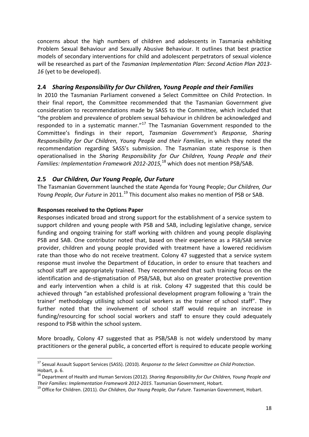concerns about the high numbers of children and adolescents in Tasmania exhibiting Problem Sexual Behaviour and Sexually Abusive Behaviour. It outlines that best practice models of secondary interventions for child and adolescent perpetrators of sexual violence will be researched as part of the *Tasmanian Implementation Plan: Second Action Plan 2013-* 16 (yet to be developed).

#### <span id="page-17-0"></span>**2.4** *Sharing Responsibility for Our Children, Young People and their Families*

In 2010 the Tasmanian Parliament convened a Select Committee on Child Protection. In their final report, the Committee recommended that the Tasmanian Government give consideration to recommendations made by SASS to the Committee, which included that "the problem and prevalence of problem sexual behaviour in children be acknowledged and responded to in a systematic manner." $17$  The Tasmanian Government responded to the Committee's findings in their report, *Tasmanian Government's Response, Sharing Responsibility for Our Children, Young People and their Families*, in which they noted the recommendation regarding SASS's submission. The Tasmanian state response is then operationalised in the *Sharing Responsibility for Our Children, Young People and their Families: Implementation Framework 2012-2015,*<sup>18</sup> which does not mention PSB/SAB.

## <span id="page-17-1"></span>**2.5** *Our Children, Our Young People, Our Future*

The Tasmanian Government launched the state Agenda for Young People; *Our Children, Our Young People, Our Future* in 2011.<sup>19</sup> This document also makes no mention of PSB or SAB.

#### **Responses received to the Options Paper**

**.** 

Responses indicated broad and strong support for the establishment of a service system to support children and young people with PSB and SAB, including legislative change, service funding and ongoing training for staff working with children and young people displaying PSB and SAB. One contributor noted that, based on their experience as a PSB/SAB service provider, children and young people provided with treatment have a lowered recidivism rate than those who do not receive treatment. Colony 47 suggested that a service system response must involve the Department of Education, in order to ensure that teachers and school staff are appropriately trained. They recommended that such training focus on the identification and de-stigmatisation of PSB/SAB, but also on greater protective prevention and early intervention when a child is at risk. Colony 47 suggested that this could be achieved through "an established professional development program following a 'train the trainer' methodology utilising school social workers as the trainer of school staff". They further noted that the involvement of school staff would require an increase in funding/resourcing for school social workers and staff to ensure they could adequately respond to PSB within the school system.

More broadly, Colony 47 suggested that as PSB/SAB is not widely understood by many practitioners or the general public, a concerted effort is required to educate people working

<sup>17</sup> Sexual Assault Support Services (SASS). (2010). *Response to the Select Committee on Child Protection*. Hobart, p. 6.

<sup>18</sup> Department of Health and Human Services (2012). *Sharing Responsibility for Our Children, Young People and Their Families: Implementation Framework 2012-2015*. Tasmanian Government, Hobart.

<sup>19</sup> Office for Children. (2011). *Our Children, Our Young People, Our Future*. Tasmanian Government, Hobart.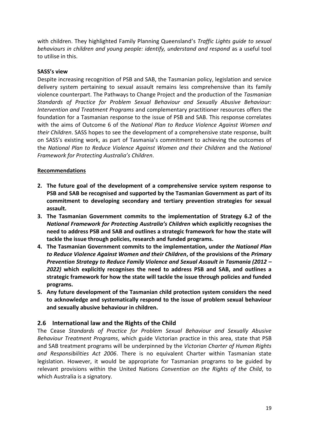with children. They highlighted Family Planning Queensland's *Traffic Lights guide to sexual behaviours in children and young people: identify, understand and respond* as a useful tool to utilise in this.

#### **SASS's view**

Despite increasing recognition of PSB and SAB, the Tasmanian policy, legislation and service delivery system pertaining to sexual assault remains less comprehensive than its family violence counterpart. The Pathways to Change Project and the production of the *Tasmanian Standards of Practice for Problem Sexual Behaviour and Sexually Abusive Behaviour: Intervention and Treatment Programs* and complementary practitioner resources offers the foundation for a Tasmanian response to the issue of PSB and SAB. This response correlates with the aims of Outcome 6 of the *National Plan to Reduce Violence Against Women and their Children*. SASS hopes to see the development of a comprehensive state response, built on SASS's existing work, as part of Tasmania's commitment to achieving the outcomes of the *National Plan to Reduce Violence Against Women and their Children* and the *National Framework for Protecting Australia's Children*.

#### **Recommendations**

- **2. The future goal of the development of a comprehensive service system response to PSB and SAB be recognised and supported by the Tasmanian Government as part of its commitment to developing secondary and tertiary prevention strategies for sexual assault.**
- **3. The Tasmanian Government commits to the implementation of Strategy 6.2 of the**  *National Framework for Protecting Australia's Children* **which explicitly recognises the need to address PSB and SAB and outlines a strategic framework for how the state will tackle the issue through policies, research and funded programs.**
- **4. The Tasmanian Government commits to the implementation, under** *the National Plan to Reduce Violence Against Women and their Children***, of the provisions of the** *Primary Prevention Strategy to Reduce Family Violence and Sexual Assault in Tasmania (2012 – 2022)* **which explicitly recognises the need to address PSB and SAB, and outlines a strategic framework for how the state will tackle the issue through policies and funded programs.**
- **5. Any future development of the Tasmanian child protection system considers the need to acknowledge and systematically respond to the issue of problem sexual behaviour and sexually abusive behaviour in children.**

#### <span id="page-18-0"></span>**2.6 International law and the Rights of the Child**

The Cease *Standards of Practice for Problem Sexual Behaviour and Sexually Abusive Behaviour Treatment Programs*, which guide Victorian practice in this area, state that PSB and SAB treatment programs will be underpinned by the *Victorian Charter of Human Rights and Responsibilities Act 2006*. There is no equivalent Charter within Tasmanian state legislation. However, it would be appropriate for Tasmanian programs to be guided by relevant provisions within the United Nations *Convention on the Rights of the Child*, to which Australia is a signatory.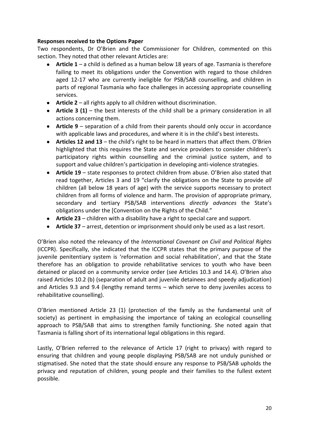Two respondents, Dr O'Brien and the Commissioner for Children, commented on this section. They noted that other relevant Articles are:

- **Article 1** a child is defined as a human below 18 years of age. Tasmania is therefore failing to meet its obligations under the Convention with regard to those children aged 12-17 who are currently ineligible for PSB/SAB counselling, and children in parts of regional Tasmania who face challenges in accessing appropriate counselling services.
- **Article 2** all rights apply to all children without discrimination.
- **Article 3 (1)** the best interests of the child shall be a primary consideration in all actions concerning them.
- **Article 9**  separation of a child from their parents should only occur in accordance with applicable laws and procedures, and where it is in the child's best interests.
- **Articles 12 and 13** the child's right to be heard in matters that affect them. O'Brien highlighted that this requires the State and service providers to consider children's participatory rights within counselling and the criminal justice system, and to support and value children's participation in developing anti-violence strategies.
- **Article 19** state responses to protect children from abuse. O'Brien also stated that read together, Articles 3 and 19 "clarify the obligations on the State to provide *all*  children (all below 18 years of age) with the service supports necessary to protect children from all forms of violence and harm. The provision of appropriate primary, secondary and tertiary PSB/SAB interventions *directly advances* the State's obligations under the [Convention on the Rights of the Child."
- **Article 23** children with a disability have a right to special care and support.
- **Article 37** arrest, detention or imprisonment should only be used as a last resort.

O'Brien also noted the relevancy of the *International Covenant on Civil and Political Rights* (ICCPR). Specifically, she indicated that the ICCPR states that the primary purpose of the juvenile penitentiary system is 'reformation and social rehabilitation', and that the State therefore has an obligation to provide rehabilitative services to youth who have been detained or placed on a community service order (see Articles 10.3 and 14.4). O'Brien also raised Articles 10.2 (b) (separation of adult and juvenile detainees and speedy adjudication) and Articles 9.3 and 9.4 (lengthy remand terms – which serve to deny juveniles access to rehabilitative counselling).

O'Brien mentioned Article 23 (1) (protection of the family as the fundamental unit of society) as pertinent in emphasising the importance of taking an ecological counselling approach to PSB/SAB that aims to strengthen family functioning. She noted again that Tasmania is falling short of its international legal obligations in this regard.

Lastly, O'Brien referred to the relevance of Article 17 (right to privacy) with regard to ensuring that children and young people displaying PSB/SAB are not unduly punished or stigmatised. She noted that the state should ensure any response to PSB/SAB upholds the privacy and reputation of children, young people and their families to the fullest extent possible.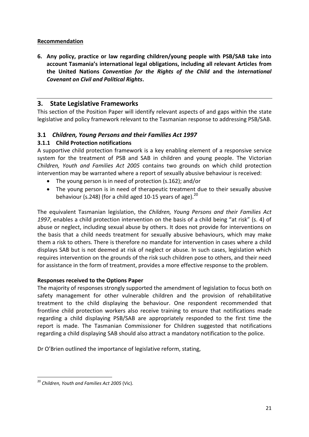#### **Recommendation**

**6. Any policy, practice or law regarding children/young people with PSB/SAB take into account Tasmania's international legal obligations, including all relevant Articles from the United Nations** *Convention for the Rights of the Child* **and the** *International Covenant on Civil and Political Rights***.** 

## <span id="page-20-0"></span>**3. State Legislative Frameworks**

This section of the Position Paper will identify relevant aspects of and gaps within the state legislative and policy framework relevant to the Tasmanian response to addressing PSB/SAB.

## <span id="page-20-1"></span>**3.1** *Children, Young Persons and their Families Act 1997*

## <span id="page-20-2"></span>**3.1.1 Child Protection notifications**

A supportive child protection framework is a key enabling element of a responsive service system for the treatment of PSB and SAB in children and young people. The Victorian *Children, Youth and Families Act 2005* contains two grounds on which child protection intervention may be warranted where a report of sexually abusive behaviour is received:

- The young person is in need of protection (s.162); and/or
- The young person is in need of therapeutic treatment due to their sexually abusive behaviour (s.248) (for a child aged 10-15 years of age). $^{20}$

The equivalent Tasmanian legislation, the *Children, Young Persons and their Families Act 1997*, enables a child protection intervention on the basis of a child being "at risk" (s. 4) of abuse or neglect, including sexual abuse by others. It does not provide for interventions on the basis that a child needs treatment for sexually abusive behaviours, which may make them a risk to others. There is therefore no mandate for intervention in cases where a child displays SAB but is not deemed at risk of neglect or abuse. In such cases, legislation which requires intervention on the grounds of the risk such children pose to others, and their need for assistance in the form of treatment, provides a more effective response to the problem.

#### **Responses received to the Options Paper**

The majority of responses strongly supported the amendment of legislation to focus both on safety management for other vulnerable children and the provision of rehabilitative treatment to the child displaying the behaviour. One respondent recommended that frontline child protection workers also receive training to ensure that notifications made regarding a child displaying PSB/SAB are appropriately responded to the first time the report is made. The Tasmanian Commissioner for Children suggested that notifications regarding a child displaying SAB should also attract a mandatory notification to the police.

Dr O'Brien outlined the importance of legislative reform, stating,

 $\overline{a}$ <sup>20</sup> *Children, Youth and Families Act 2005* (Vic).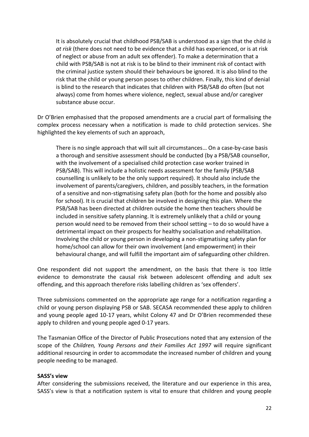It is absolutely crucial that childhood PSB/SAB is understood as a sign that the child *is at risk* (there does not need to be evidence that a child has experienced, or is at risk of neglect or abuse from an adult sex offender). To make a determination that a child with PSB/SAB is not at risk is to be blind to their imminent risk of contact with the criminal justice system should their behaviours be ignored. It is also blind to the risk that the child or young person poses to other children. Finally, this kind of denial is blind to the research that indicates that children with PSB/SAB do often (but not always) come from homes where violence, neglect, sexual abuse and/or caregiver substance abuse occur.

Dr O'Brien emphasised that the proposed amendments are a crucial part of formalising the complex process necessary when a notification is made to child protection services. She highlighted the key elements of such an approach,

There is no single approach that will suit all circumstances… On a case-by-case basis a thorough and sensitive assessment should be conducted (by a PSB/SAB counsellor, with the involvement of a specialised child protection case worker trained in PSB/SAB). This will include a holistic needs assessment for the family (PSB/SAB counselling is unlikely to be the only support required). It should also include the involvement of parents/caregivers, children, and possibly teachers, in the formation of a sensitive and non-stigmatising safety plan (both for the home and possibly also for school). It is crucial that children be involved in designing this plan. Where the PSB/SAB has been directed at children outside the home then teachers should be included in sensitive safety planning. It is extremely unlikely that a child or young person would need to be removed from their school setting – to do so would have a detrimental impact on their prospects for healthy socialisation and rehabilitation. Involving the child or young person in developing a non-stigmatising safety plan for home/school can allow for their own involvement (and empowerment) in their behavioural change, and will fulfill the important aim of safeguarding other children.

One respondent did not support the amendment, on the basis that there is too little evidence to demonstrate the causal risk between adolescent offending and adult sex offending, and this approach therefore risks labelling children as 'sex offenders'.

Three submissions commented on the appropriate age range for a notification regarding a child or young person displaying PSB or SAB. SECASA recommended these apply to children and young people aged 10-17 years, whilst Colony 47 and Dr O'Brien recommended these apply to children and young people aged 0-17 years.

The Tasmanian Office of the Director of Public Prosecutions noted that any extension of the scope of the *Children, Young Persons and their Families Act 1997* will require significant additional resourcing in order to accommodate the increased number of children and young people needing to be managed.

#### **SASS's view**

After considering the submissions received, the literature and our experience in this area, SASS's view is that a notification system is vital to ensure that children and young people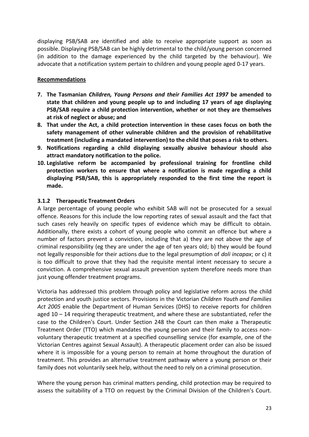displaying PSB/SAB are identified and able to receive appropriate support as soon as possible. Displaying PSB/SAB can be highly detrimental to the child/young person concerned (in addition to the damage experienced by the child targeted by the behaviour). We advocate that a notification system pertain to children and young people aged 0-17 years.

#### **Recommendations**

- **7. The Tasmanian** *Children, Young Persons and their Families Act 1997* **be amended to state that children and young people up to and including 17 years of age displaying PSB/SAB require a child protection intervention, whether or not they are themselves at risk of neglect or abuse; and**
- **8. That under the Act, a child protection intervention in these cases focus on both the safety management of other vulnerable children and the provision of rehabilitative treatment (including a mandated intervention) to the child that poses a risk to others.**
- **9. Notifications regarding a child displaying sexually abusive behaviour should also attract mandatory notification to the police.**
- **10. Legislative reform be accompanied by professional training for frontline child protection workers to ensure that where a notification is made regarding a child displaying PSB/SAB, this is appropriately responded to the first time the report is made.**

#### <span id="page-22-0"></span>**3.1.2 Therapeutic Treatment Orders**

A large percentage of young people who exhibit SAB will not be prosecuted for a sexual offence. Reasons for this include the low reporting rates of sexual assault and the fact that such cases rely heavily on specific types of evidence which may be difficult to obtain. Additionally, there exists a cohort of young people who commit an offence but where a number of factors prevent a conviction, including that a) they are not above the age of criminal responsibility (eg they are under the age of ten years old; b) they would be found not legally responsible for their actions due to the legal presumption of *doli incapax*; or c) it is too difficult to prove that they had the requisite mental intent necessary to secure a conviction. A comprehensive sexual assault prevention system therefore needs more than just young offender treatment programs.

Victoria has addressed this problem through policy and legislative reform across the child protection and youth justice sectors. Provisions in the Victorian *Children Youth and Families Act 2005* enable the Department of Human Services (DHS) to receive reports for children aged  $10 - 14$  requiring therapeutic treatment, and where these are substantiated, refer the case to the Children's Court. Under Section 248 the Court can then make a Therapeutic Treatment Order (TTO) which mandates the young person and their family to access nonvoluntary therapeutic treatment at a specified counselling service (for example, one of the Victorian Centres against Sexual Assault). A therapeutic placement order can also be issued where it is impossible for a young person to remain at home throughout the duration of treatment. This provides an alternative treatment pathway where a young person or their family does not voluntarily seek help, without the need to rely on a criminal prosecution.

Where the young person has criminal matters pending, child protection may be required to assess the suitability of a TTO on request by the Criminal Division of the Children's Court.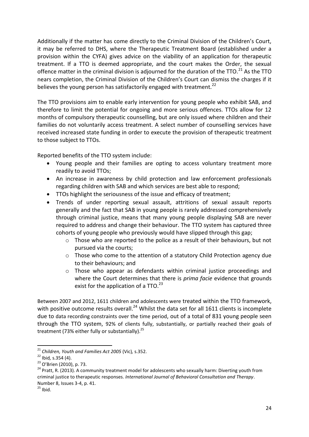Additionally if the matter has come directly to the Criminal Division of the Children's Court, it may be referred to DHS, where the Therapeutic Treatment Board (established under a provision within the CYFA) gives advice on the viability of an application for therapeutic treatment. If a TTO is deemed appropriate, and the court makes the Order, the sexual offence matter in the criminal division is adjourned for the duration of the TTO.<sup>21</sup> As the TTO nears completion, the Criminal Division of the Children's Court can dismiss the charges if it believes the young person has satisfactorily engaged with treatment. $^{22}$ 

The TTO provisions aim to enable early intervention for young people who exhibit SAB, and therefore to limit the potential for ongoing and more serious offences. TTOs allow for 12 months of compulsory therapeutic counselling, but are only issued where children and their families do not voluntarily access treatment. A select number of counselling services have received increased state funding in order to execute the provision of therapeutic treatment to those subject to TTOs.

Reported benefits of the TTO system include:

- Young people and their families are opting to access voluntary treatment more readily to avoid TTOs;
- An increase in awareness by child protection and law enforcement professionals regarding children with SAB and which services are best able to respond;
- TTOs highlight the seriousness of the issue and efficacy of treatment;
- Trends of under reporting sexual assault, attritions of sexual assault reports generally and the fact that SAB in young people is rarely addressed comprehensively through criminal justice, means that many young people displaying SAB are never required to address and change their behaviour. The TTO system has captured three cohorts of young people who previously would have slipped through this gap;
	- $\circ$  Those who are reported to the police as a result of their behaviours, but not pursued via the courts;
	- o Those who come to the attention of a statutory Child Protection agency due to their behaviours; and
	- $\circ$  Those who appear as defendants within criminal justice proceedings and where the Court determines that there is *prima facie* evidence that grounds exist for the application of a  $TTO.<sup>23</sup>$

Between 2007 and 2012, 1611 children and adolescents were treated within the TTO framework, with positive outcome results overall.<sup>24</sup> Whilst the data set for all 1611 clients is incomplete due to data recording constraints over the time period, out of a total of 831 young people seen through the TTO system, 92% of clients fully, substantially, or partially reached their goals of treatment (73% either fully or substantially). $^{25}$ 

**.** 

<sup>21</sup> *Children, Youth and Families Act 2005* (Vic)*,* s.352.

<sup>22</sup> Ibid*,* s.354 (4).

<sup>&</sup>lt;sup>23</sup> O'Brien (2010), p. 73.

<sup>&</sup>lt;sup>24</sup> Pratt, R. (2013). A community treatment model for adolescents who sexually harm: Diverting youth from criminal justice to therapeutic responses. *International Journal of Behavioral Consultation and Therapy*. Number 8, Issues 3-4, p. 41.

 $25$  Ibid.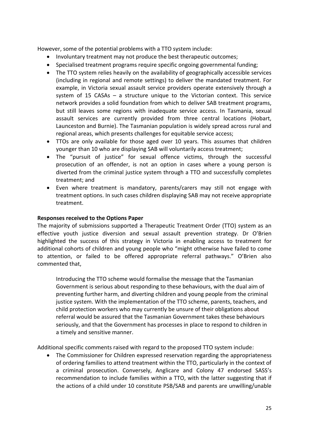However, some of the potential problems with a TTO system include:

- Involuntary treatment may not produce the best therapeutic outcomes;
- Specialised treatment programs require specific ongoing governmental funding;
- The TTO system relies heavily on the availability of geographically accessible services (including in regional and remote settings) to deliver the mandated treatment. For example, in Victoria sexual assault service providers operate extensively through a system of 15 CASAs – a structure unique to the Victorian context. This service network provides a solid foundation from which to deliver SAB treatment programs, but still leaves some regions with inadequate service access. In Tasmania, sexual assault services are currently provided from three central locations (Hobart, Launceston and Burnie). The Tasmanian population is widely spread across rural and regional areas, which presents challenges for equitable service access;
- TTOs are only available for those aged over 10 years. This assumes that children younger than 10 who are displaying SAB will voluntarily access treatment;
- The "pursuit of justice" for sexual offence victims, through the successful prosecution of an offender, is not an option in cases where a young person is diverted from the criminal justice system through a TTO and successfully completes treatment; and
- Even where treatment is mandatory, parents/carers may still not engage with treatment options. In such cases children displaying SAB may not receive appropriate treatment.

#### **Responses received to the Options Paper**

The majority of submissions supported a Therapeutic Treatment Order (TTO) system as an effective youth justice diversion and sexual assault prevention strategy. Dr O'Brien highlighted the success of this strategy in Victoria in enabling access to treatment for additional cohorts of children and young people who "might otherwise have failed to come to attention, or failed to be offered appropriate referral pathways." O'Brien also commented that,

Introducing the TTO scheme would formalise the message that the Tasmanian Government is serious about responding to these behaviours, with the dual aim of preventing further harm, and diverting children and young people from the criminal justice system. With the implementation of the TTO scheme, parents, teachers, and child protection workers who may currently be unsure of their obligations about referral would be assured that the Tasmanian Government takes these behaviours seriously, and that the Government has processes in place to respond to children in a timely and sensitive manner.

Additional specific comments raised with regard to the proposed TTO system include:

 The Commissioner for Children expressed reservation regarding the appropriateness of ordering families to attend treatment within the TTO, particularly in the context of a criminal prosecution. Conversely, Anglicare and Colony 47 endorsed SASS's recommendation to include families within a TTO, with the latter suggesting that if the actions of a child under 10 constitute PSB/SAB and parents are unwilling/unable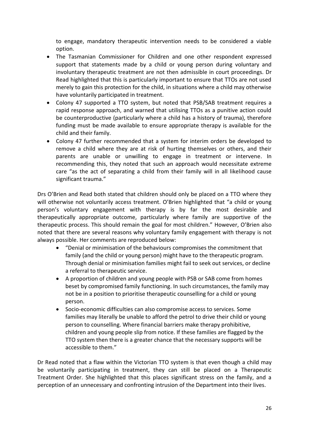to engage, mandatory therapeutic intervention needs to be considered a viable option.

- The Tasmanian Commissioner for Children and one other respondent expressed support that statements made by a child or young person during voluntary and involuntary therapeutic treatment are not then admissible in court proceedings. Dr Read highlighted that this is particularly important to ensure that TTOs are not used merely to gain this protection for the child, in situations where a child may otherwise have voluntarily participated in treatment.
- Colony 47 supported a TTO system, but noted that PSB/SAB treatment requires a rapid response approach, and warned that utilising TTOs as a punitive action could be counterproductive (particularly where a child has a history of trauma), therefore funding must be made available to ensure appropriate therapy is available for the child and their family.
- Colony 47 further recommended that a system for interim orders be developed to remove a child where they are at risk of hurting themselves or others, and their parents are unable or unwilling to engage in treatment or intervene. In recommending this, they noted that such an approach would necessitate extreme care "as the act of separating a child from their family will in all likelihood cause significant trauma."

Drs O'Brien and Read both stated that children should only be placed on a TTO where they will otherwise not voluntarily access treatment. O'Brien highlighted that "a child or young person's voluntary engagement with therapy is by far the most desirable and therapeutically appropriate outcome, particularly where family are supportive of the therapeutic process. This should remain the goal for most children." However, O'Brien also noted that there are several reasons why voluntary family engagement with therapy is not always possible. Her comments are reproduced below:

- "Denial or minimisation of the behaviours compromises the commitment that family (and the child or young person) might have to the therapeutic program. Through denial or minimisation families might fail to seek out services, or decline a referral to therapeutic service.
- A proportion of children and young people with PSB or SAB come from homes beset by compromised family functioning. In such circumstances, the family may not be in a position to prioritise therapeutic counselling for a child or young person.
- Socio-economic difficulties can also compromise access to services. Some families may literally be unable to afford the petrol to drive their child or young person to counselling. Where financial barriers make therapy prohibitive, children and young people slip from notice. If these families are flagged by the TTO system then there is a greater chance that the necessary supports will be accessible to them."

Dr Read noted that a flaw within the Victorian TTO system is that even though a child may be voluntarily participating in treatment, they can still be placed on a Therapeutic Treatment Order. She highlighted that this places significant stress on the family, and a perception of an unnecessary and confronting intrusion of the Department into their lives.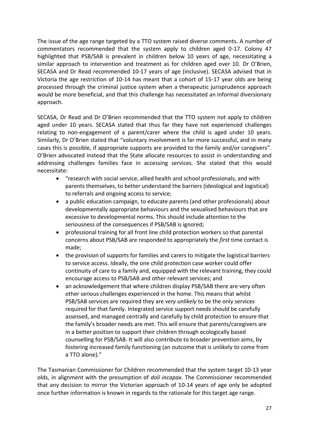The issue of the age range targeted by a TTO system raised diverse comments. A number of commentators recommended that the system apply to children aged 0-17. Colony 47 highlighted that PSB/SAB is prevalent in children below 10 years of age, necessitating a similar approach to intervention and treatment as for children aged over 10. Dr O'Brien, SECASA and Dr Read recommended 10-17 years of age (inclusive). SECASA advised that in Victoria the age restriction of 10-14 has meant that a cohort of 15-17 year olds are being processed through the criminal justice system when a therapeutic jurisprudence approach would be more beneficial, and that this challenge has necessitated an informal diversionary approach.

SECASA, Dr Read and Dr O'Brien recommended that the TTO system not apply to children aged under 10 years. SECASA stated that thus far they have not experienced challenges relating to non-engagement of a parent/carer where the child is aged under 10 years. Similarly, Dr O'Brien stated that "voluntary involvement is far more successful, and in many cases this is possible, if appropriate supports are provided to the family and/or caregivers". O'Brien advocated instead that the State allocate resources to assist in understanding and addressing challenges families face in accessing services. She stated that this would necessitate:

- "research with social service, allied health and school professionals, and with parents themselves, to better understand the barriers (ideological and logistical) to referrals and ongoing access to service;
- a public education campaign, to educate parents (and other professionals) about developmentally appropriate behaviours and the sexualised behaviours that are excessive to developmental norms. This should include attention to the seriousness of the consequences if PSB/SAB is ignored;
- professional training for all front line child protection workers so that parental concerns about PSB/SAB are responded to appropriately the *first* time contact is made;
- the provision of supports for families and carers to mitigate the logistical barriers to service access. Ideally, the one child protection case worker could offer continuity of care to a family and, equipped with the relevant training, they could encourage access to PSB/SAB and other relevant services; and
- an acknowledgement that where children display PSB/SAB there are very often other serious challenges experienced in the home. This means that whilst PSB/SAB services are required they are *very unlikely* to be the only services required for that family. Integrated service support needs should be carefully assessed, and managed centrally and carefully by child protection to ensure that the family's broader needs are met. This will ensure that parents/caregivers are in a better position to support their children through ecologically based counselling for PSB/SAB. It will also contribute to broader prevention aims, by fostering increased family functioning (an outcome that is unlikely to come from a TTO alone)."

The Tasmanian Commissioner for Children recommended that the system target 10-13 year olds, in alignment with the presumption of *doli incapax*. The Commissioner recommended that any decision to mirror the Victorian approach of 10-14 years of age only be adopted once further information is known in regards to the rationale for this target age range.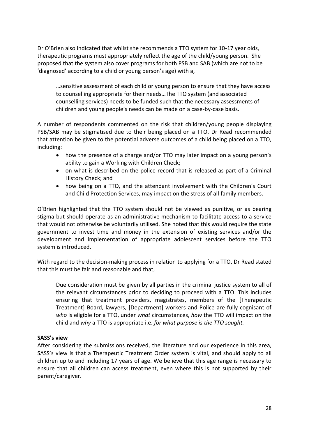Dr O'Brien also indicated that whilst she recommends a TTO system for 10-17 year olds, therapeutic programs must appropriately reflect the age of the child/young person. She proposed that the system also cover programs for both PSB and SAB (which are not to be 'diagnosed' according to a child or young person's age) with a,

…sensitive assessment of each child or young person to ensure that they have access to counselling appropriate for their needs…The TTO system (and associated counselling services) needs to be funded such that the necessary assessments of children and young people's needs can be made on a case-by-case basis.

A number of respondents commented on the risk that children/young people displaying PSB/SAB may be stigmatised due to their being placed on a TTO. Dr Read recommended that attention be given to the potential adverse outcomes of a child being placed on a TTO, including:

- how the presence of a charge and/or TTO may later impact on a young person's ability to gain a Working with Children Check;
- on what is described on the police record that is released as part of a Criminal History Check; and
- how being on a TTO, and the attendant involvement with the Children's Court and Child Protection Services, may impact on the stress of all family members.

O'Brien highlighted that the TTO system should not be viewed as punitive, or as bearing stigma but should operate as an administrative mechanism to facilitate access to a service that would not otherwise be voluntarily utilised. She noted that this would require the state government to invest time and money in the extension of existing services and/or the development and implementation of appropriate adolescent services before the TTO system is introduced.

With regard to the decision-making process in relation to applying for a TTO, Dr Read stated that this must be fair and reasonable and that,

Due consideration must be given by all parties in the criminal justice system to all of the relevant circumstances prior to deciding to proceed with a TTO. This includes ensuring that treatment providers, magistrates, members of the [Therapeutic Treatment] Board, lawyers, [Department] workers and Police are fully cognisant of *who* is eligible for a TTO, under *what* circumstances, *how* the TTO will impact on the child and *why* a TTO is appropriate i.e. *for what purpose is the TTO sought.* 

#### **SASS's view**

After considering the submissions received, the literature and our experience in this area, SASS's view is that a Therapeutic Treatment Order system is vital, and should apply to all children up to and including 17 years of age. We believe that this age range is necessary to ensure that all children can access treatment, even where this is not supported by their parent/caregiver.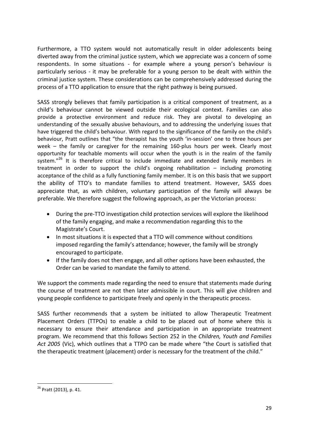Furthermore, a TTO system would not automatically result in older adolescents being diverted away from the criminal justice system, which we appreciate was a concern of some respondents. In some situations - for example where a young person's behaviour is particularly serious - it may be preferable for a young person to be dealt with within the criminal justice system. These considerations can be comprehensively addressed during the process of a TTO application to ensure that the right pathway is being pursued.

SASS strongly believes that family participation is a critical component of treatment, as a child's behaviour cannot be viewed outside their ecological context. Families can also provide a protective environment and reduce risk. They are pivotal to developing an understanding of the sexually abusive behaviours, and to addressing the underlying issues that have triggered the child's behaviour. With regard to the significance of the family on the child's behaviour, Pratt outlines that "the therapist has the youth 'in-session' one to three hours per week – the family or caregiver for the remaining 160-plus hours per week. Clearly most opportunity for teachable moments will occur when the youth is in the realm of the family system."<sup>26</sup> It is therefore critical to include immediate and extended family members in treatment in order to support the child's ongoing rehabilitation – including promoting acceptance of the child as a fully functioning family member. It is on this basis that we support the ability of TTO's to mandate families to attend treatment. However, SASS does appreciate that, as with children, voluntary participation of the family will always be preferable. We therefore suggest the following approach, as per the Victorian process:

- During the pre-TTO investigation child protection services will explore the likelihood of the family engaging, and make a recommendation regarding this to the Magistrate's Court.
- In most situations it is expected that a TTO will commence without conditions imposed regarding the family's attendance; however, the family will be strongly encouraged to participate.
- If the family does not then engage, and all other options have been exhausted, the Order can be varied to mandate the family to attend.

We support the comments made regarding the need to ensure that statements made during the course of treatment are not then later admissible in court. This will give children and young people confidence to participate freely and openly in the therapeutic process.

SASS further recommends that a system be initiated to allow Therapeutic Treatment Placement Orders (TTPOs) to enable a child to be placed out of home where this is necessary to ensure their attendance and participation in an appropriate treatment program. We recommend that this follows Section 252 in the *Children, Youth and Families Act 2005* (Vic), which outlines that a TTPO can be made where "the Court is satisfied that the therapeutic treatment (placement) order is necessary for the treatment of the child."

**<sup>.</sup>** <sup>26</sup> Pratt (2013), p. 41.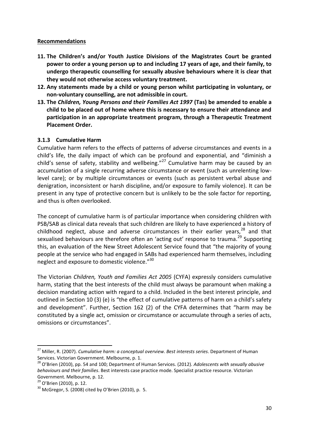#### **Recommendations**

- **11. The Children's and/or Youth Justice Divisions of the Magistrates Court be granted power to order a young person up to and including 17 years of age, and their family, to undergo therapeutic counselling for sexually abusive behaviours where it is clear that they would not otherwise access voluntary treatment.**
- **12. Any statements made by a child or young person whilst participating in voluntary, or non-voluntary counselling, are not admissible in court.**
- **13. The** *Children, Young Persons and their Families Act 1997* **(Tas) be amended to enable a child to be placed out of home where this is necessary to ensure their attendance and participation in an appropriate treatment program, through a Therapeutic Treatment Placement Order.**

#### <span id="page-29-0"></span>**3.1.3 Cumulative Harm**

Cumulative harm refers to the effects of patterns of adverse circumstances and events in a child's life, the daily impact of which can be profound and exponential, and "diminish a child's sense of safety, stability and wellbeing."<sup>27</sup> Cumulative harm may be caused by an accumulation of a single recurring adverse circumstance or event (such as unrelenting lowlevel care); or by multiple circumstances or events (such as persistent verbal abuse and denigration, inconsistent or harsh discipline, and/or exposure to family violence). It can be present in any type of protective concern but is unlikely to be the sole factor for reporting, and thus is often overlooked.

The concept of cumulative harm is of particular importance when considering children with PSB/SAB as clinical data reveals that such children are likely to have experienced a history of childhood neglect, abuse and adverse circumstances in their earlier years, $28$  and that sexualised behaviours are therefore often an 'acting out' response to trauma.<sup>29</sup> Supporting this, an evaluation of the New Street Adolescent Service found that "the majority of young people at the service who had engaged in SABs had experienced harm themselves, including neglect and exposure to domestic violence."<sup>30</sup>

The Victorian *Children, Youth and Families Act 2005* (CYFA) expressly considers cumulative harm, stating that the best interests of the child must always be paramount when making a decision mandating action with regard to a child. Included in the best interest principle, and outlined in Section 10 (3) (e) is "the effect of cumulative patterns of harm on a child's safety and development". Further, Section 162 (2) of the CYFA determines that "harm may be constituted by a single act, omission or circumstance or accumulate through a series of acts, omissions or circumstances".

**.** 

<sup>27</sup> Miller, R. (2007). *Cumulative harm: a conceptual overview. Best interests series*. Department of Human Services. Victorian Government. Melbourne, p. 1.

<sup>28</sup> O'Brien (2010), pp. 54 and 100; Department of Human Services. (2012). *Adolescents with sexually abusive behaviours and their families*. Best interests case practice mode. Specialist practice resource. Victorian Government. Melbourne, p. 12.

<sup>&</sup>lt;sup>29</sup> O'Brien (2010), p. 12.

 $30$  McGregor, S. (2008) cited by O'Brien (2010), p. 5.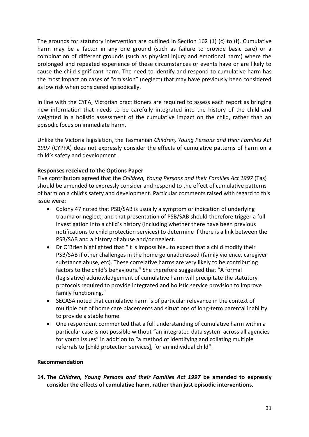The grounds for statutory intervention are outlined in Section 162 (1) (c) to (f). Cumulative harm may be a factor in any one ground (such as failure to provide basic care) or a combination of different grounds (such as physical injury and emotional harm) where the prolonged and repeated experience of these circumstances or events have or are likely to cause the child significant harm. The need to identify and respond to cumulative harm has the most impact on cases of "omission" (neglect) that may have previously been considered as low risk when considered episodically.

In line with the CYFA, Victorian practitioners are required to assess each report as bringing new information that needs to be carefully integrated into the history of the child and weighted in a holistic assessment of the cumulative impact on the child, rather than an episodic focus on immediate harm.

Unlike the Victoria legislation, the Tasmanian *Children, Young Persons and their Families Act 1997* (CYPFA) does not expressly consider the effects of cumulative patterns of harm on a child's safety and development.

#### **Responses received to the Options Paper**

Five contributors agreed that the *Children, Young Persons and their Families Act 1997* (Tas) should be amended to expressly consider and respond to the effect of cumulative patterns of harm on a child's safety and development. Particular comments raised with regard to this issue were:

- Colony 47 noted that PSB/SAB is usually a symptom or indication of underlying trauma or neglect, and that presentation of PSB/SAB should therefore trigger a full investigation into a child's history (including whether there have been previous notifications to child protection services) to determine if there is a link between the PSB/SAB and a history of abuse and/or neglect.
- Dr O'Brien highlighted that "It is impossible…to expect that a child modify their PSB/SAB if other challenges in the home go unaddressed (family violence, caregiver substance abuse, etc). These correlative harms are very likely to be contributing factors to the child's behaviours." She therefore suggested that "A formal (legislative) acknowledgement of cumulative harm will precipitate the statutory protocols required to provide integrated and holistic service provision to improve family functioning."
- SECASA noted that cumulative harm is of particular relevance in the context of multiple out of home care placements and situations of long-term parental inability to provide a stable home.
- One respondent commented that a full understanding of cumulative harm within a particular case is not possible without "an integrated data system across all agencies for youth issues" in addition to "a method of identifying and collating multiple referrals to [child protection services], for an individual child".

#### **Recommendation**

**14. The** *Children, Young Persons and their Families Act 1997* **be amended to expressly consider the effects of cumulative harm, rather than just episodic interventions.**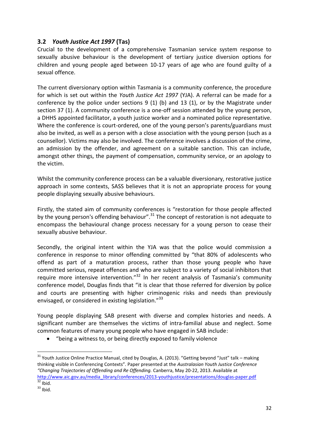## <span id="page-31-0"></span>**3.2** *Youth Justice Act 1997* **(Tas)**

Crucial to the development of a comprehensive Tasmanian service system response to sexually abusive behaviour is the development of tertiary justice diversion options for children and young people aged between 10-17 years of age who are found guilty of a sexual offence.

The current diversionary option within Tasmania is a community conference, the procedure for which is set out within the *Youth Justice Act 1997* (YJA). A referral can be made for a conference by the police under sections 9 (1) (b) and 13 (1), or by the Magistrate under section 37 (1). A community conference is a one-off session attended by the young person, a DHHS appointed facilitator, a youth justice worker and a nominated police representative. Where the conference is court-ordered, one of the young person's parents/guardians must also be invited, as well as a person with a close association with the young person (such as a counsellor). Victims may also be involved. The conference involves a discussion of the crime, an admission by the offender, and agreement on a suitable sanction. This can include, amongst other things, the payment of compensation, community service, or an apology to the victim.

Whilst the community conference process can be a valuable diversionary, restorative justice approach in some contexts, SASS believes that it is not an appropriate process for young people displaying sexually abusive behaviours.

Firstly, the stated aim of community conferences is "restoration for those people affected by the young person's offending behaviour".<sup>31</sup> The concept of restoration is not adequate to encompass the behavioural change process necessary for a young person to cease their sexually abusive behaviour.

Secondly, the original intent within the YJA was that the police would commission a conference in response to minor offending committed by "that 80% of adolescents who offend as part of a maturation process, rather than those young people who have committed serious, repeat offences and who are subject to a variety of social inhibitors that require more intensive intervention." $32$  In her recent analysis of Tasmania's community conference model, Douglas finds that "it is clear that those referred for diversion by police and courts are presenting with higher criminogenic risks and needs than previously envisaged, or considered in existing legislation."<sup>33</sup>

Young people displaying SAB present with diverse and complex histories and needs. A significant number are themselves the victims of intra-familial abuse and neglect. Some common features of many young people who have engaged in SAB include:

"being a witness to, or being directly exposed to family violence

1

<sup>&</sup>lt;sup>31</sup> Youth Justice Online Practice Manual, cited by Douglas, A. (2013). "Getting beyond "Just" talk – making thinking visible in Conferencing Contexts". Paper presented at the *Australasian Youth Justice Conference "Changing Trajectories of Offending and Re Offending.* Canberra, May 20-22, 2013. Available at [http://www.aic.gov.au/media\\_library/conferences/2013-youthjustice/presentations/douglas-paper.pdf](http://www.aic.gov.au/media_library/conferences/2013-youthjustice/presentations/douglas-paper.pdf)  $32$  Ibid.

 $33$  Ibid.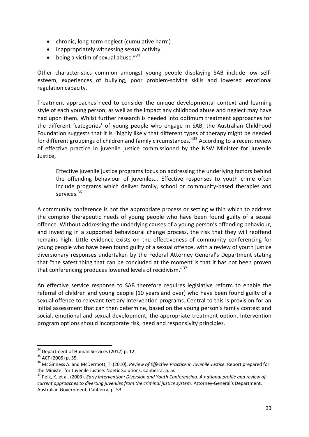- chronic, long-term neglect (cumulative harm)
- inappropriately witnessing sexual activity
- $\bullet$  being a victim of sexual abuse."  $34$

Other characteristics common amongst young people displaying SAB include low selfesteem, experiences of bullying, poor problem-solving skills and lowered emotional regulation capacity.

Treatment approaches need to consider the unique developmental context and learning style of each young person, as well as the impact any childhood abuse and neglect may have had upon them. Whilst further research is needed into optimum treatment approaches for the different 'categories' of young people who engage in SAB, the Australian Childhood Foundation suggests that it is "highly likely that different types of therapy might be needed for different groupings of children and family circumstances."<sup>35</sup> According to a recent review of effective practice in juvenile justice commissioned by the NSW Minister for Juvenile Justice,

Effective juvenile justice programs focus on addressing the underlying factors behind the offending behaviour of juveniles… Effective responses to youth crime often include programs which deliver family, school or community-based therapies and services.<sup>36</sup>

A community conference is not the appropriate process or setting within which to address the complex therapeutic needs of young people who have been found guilty of a sexual offence. Without addressing the underlying causes of a young person's offending behaviour, and investing in a supported behavioural change process, the risk that they will reoffend remains high. Little evidence exists on the effectiveness of community conferencing for young people who have been found guilty of a sexual offence, with a review of youth justice diversionary responses undertaken by the Federal Attorney General's Department stating that "the safest thing that can be concluded at the moment is that it has not been proven that conferencing produces lowered levels of recidivism."<sup>37</sup>

An effective service response to SAB therefore requires legislative reform to enable the referral of children and young people (10 years and over) who have been found guilty of a sexual offence to relevant tertiary intervention programs. Central to this is provision for an initial assessment that can then determine, based on the young person's family context and social, emotional and sexual development, the appropriate treatment option. Intervention program options should incorporate risk, need and responsivity principles.

**.** 

<sup>&</sup>lt;sup>34</sup> Department of Human Services (2012) p. 12.

<sup>&</sup>lt;sup>35</sup> ACF (2005) p. 55.

<sup>36</sup> McGinness A. and McDermott, T. (2010), *Review of Effective Practice in Juvenile Justice.* Report prepared for the Minister for Juvenile Justice. Noetic Solutions. Canberra, p. iv.

<sup>37</sup> Polk, K. et al. (2003). *Early Intervention: Diversion and Youth Conferencing. A national profile and review of current approaches to diverting juveniles from the criminal justice system*. Attorney-General's Department. Australian Government. Canberra, p. 53.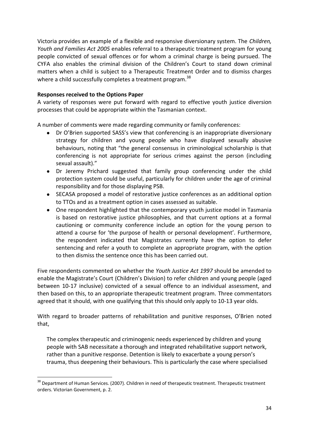Victoria provides an example of a flexible and responsive diversionary system. The *Children, Youth and Families Act 2005* enables referral to a therapeutic treatment program for young people convicted of sexual offences or for whom a criminal charge is being pursued. The CYFA also enables the criminal division of the Children's Court to stand down criminal matters when a child is subject to a Therapeutic Treatment Order and to dismiss charges where a child successfully completes a treatment program.<sup>38</sup>

#### **Responses received to the Options Paper**

 $\overline{\phantom{a}}$ 

A variety of responses were put forward with regard to effective youth justice diversion processes that could be appropriate within the Tasmanian context.

A number of comments were made regarding community or family conferences:

- Dr O'Brien supported SASS's view that conferencing is an inappropriate diversionary strategy for children and young people who have displayed sexually abusive behaviours, noting that "the general consensus in criminological scholarship is that conferencing is not appropriate for serious crimes against the person (including sexual assault)."
- Dr Jeremy Prichard suggested that family group conferencing under the child protection system could be useful, particularly for children under the age of criminal responsibility and for those displaying PSB.
- SECASA proposed a model of restorative justice conferences as an additional option to TTOs and as a treatment option in cases assessed as suitable.
- One respondent highlighted that the contemporary youth justice model in Tasmania is based on restorative justice philosophies, and that current options at a formal cautioning or community conference include an option for the young person to attend a course for 'the purpose of health or personal development'. Furthermore, the respondent indicated that Magistrates currently have the option to defer sentencing and refer a youth to complete an appropriate program, with the option to then dismiss the sentence once this has been carried out.

Five respondents commented on whether the *Youth Justice Act 1997* should be amended to enable the Magistrate's Court (Children's Division) to refer children and young people (aged between 10-17 inclusive) convicted of a sexual offence to an individual assessment, and then based on this, to an appropriate therapeutic treatment program. Three commentators agreed that it should, with one qualifying that this should only apply to 10-13 year olds.

With regard to broader patterns of rehabilitation and punitive responses, O'Brien noted that,

The complex therapeutic and criminogenic needs experienced by children and young people with SAB necessitate a thorough and integrated rehabilitative support network, rather than a punitive response. Detention is likely to exacerbate a young person's trauma, thus deepening their behaviours. This is particularly the case where specialised

<sup>&</sup>lt;sup>38</sup> Department of Human Services. (2007). Children in need of therapeutic treatment. Therapeutic treatment orders. Victorian Government, p. 2.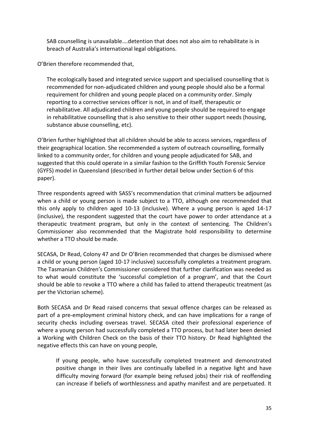SAB counselling is unavailable….detention that does not also aim to rehabilitate is in breach of Australia's international legal obligations.

O'Brien therefore recommended that,

The ecologically based and integrated service support and specialised counselling that is recommended for non-adjudicated children and young people should also be a formal requirement for children and young people placed on a community order. Simply reporting to a corrective services officer is not, in and of itself, therapeutic or rehabilitative. All adjudicated children and young people should be required to engage in rehabilitative counselling that is also sensitive to their other support needs (housing, substance abuse counselling, etc).

O'Brien further highlighted that all children should be able to access services, regardless of their geographical location. She recommended a system of outreach counselling, formally linked to a community order, for children and young people adjudicated for SAB, and suggested that this could operate in a similar fashion to the Griffith Youth Forensic Service (GYFS) model in Queensland (described in further detail below under Section 6 of this paper).

Three respondents agreed with SASS's recommendation that criminal matters be adjourned when a child or young person is made subject to a TTO, although one recommended that this only apply to children aged 10-13 (inclusive). Where a young person is aged 14-17 (inclusive), the respondent suggested that the court have power to order attendance at a therapeutic treatment program, but only in the context of sentencing. The Children's Commissioner also recommended that the Magistrate hold responsibility to determine whether a TTO should be made.

SECASA, Dr Read, Colony 47 and Dr O'Brien recommended that charges be dismissed where a child or young person (aged 10-17 inclusive) successfully completes a treatment program. The Tasmanian Children's Commissioner considered that further clarification was needed as to what would constitute the 'successful completion of a program', and that the Court should be able to revoke a TTO where a child has failed to attend therapeutic treatment (as per the Victorian scheme).

Both SECASA and Dr Read raised concerns that sexual offence charges can be released as part of a pre-employment criminal history check, and can have implications for a range of security checks including overseas travel. SECASA cited their professional experience of where a young person had successfully completed a TTO process, but had later been denied a Working with Children Check on the basis of their TTO history. Dr Read highlighted the negative effects this can have on young people,

If young people, who have successfully completed treatment and demonstrated positive change in their lives are continually labelled in a negative light and have difficulty moving forward (for example being refused jobs) their risk of reoffending can increase if beliefs of worthlessness and apathy manifest and are perpetuated. It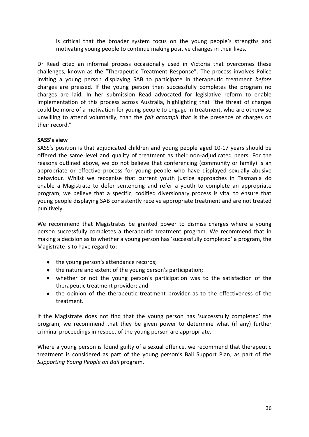is critical that the broader system focus on the young people's strengths and motivating young people to continue making positive changes in their lives.

Dr Read cited an informal process occasionally used in Victoria that overcomes these challenges, known as the "Therapeutic Treatment Response". The process involves Police inviting a young person displaying SAB to participate in therapeutic treatment *before* charges are pressed. If the young person then successfully completes the program no charges are laid. In her submission Read advocated for legislative reform to enable implementation of this process across Australia, highlighting that "the threat of charges could be more of a motivation for young people to engage in treatment, who are otherwise unwilling to attend voluntarily, than the *fait accompli* that is the presence of charges on their record."

#### **SASS's view**

SASS's position is that adjudicated children and young people aged 10-17 years should be offered the same level and quality of treatment as their non-adjudicated peers. For the reasons outlined above, we do not believe that conferencing (community or family) is an appropriate or effective process for young people who have displayed sexually abusive behaviour. Whilst we recognise that current youth justice approaches in Tasmania do enable a Magistrate to defer sentencing and refer a youth to complete an appropriate program, we believe that a specific, codified diversionary process is vital to ensure that young people displaying SAB consistently receive appropriate treatment and are not treated punitively.

We recommend that Magistrates be granted power to dismiss charges where a young person successfully completes a therapeutic treatment program. We recommend that in making a decision as to whether a young person has 'successfully completed' a program, the Magistrate is to have regard to:

- the young person's attendance records;
- the nature and extent of the young person's participation;
- whether or not the young person's participation was to the satisfaction of the therapeutic treatment provider; and
- the opinion of the therapeutic treatment provider as to the effectiveness of the treatment.

If the Magistrate does not find that the young person has 'successfully completed' the program, we recommend that they be given power to determine what (if any) further criminal proceedings in respect of the young person are appropriate.

Where a young person is found guilty of a sexual offence, we recommend that therapeutic treatment is considered as part of the young person's Bail Support Plan, as part of the *Supporting Young People on Bail* program.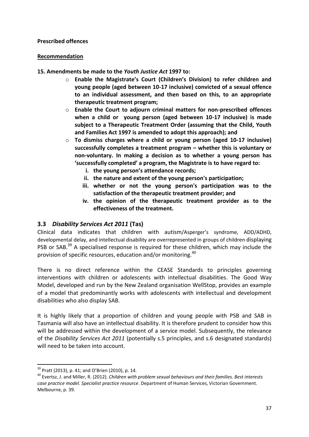#### **Prescribed offences**

#### **Recommendation**

- **15. Amendments be made to the** *Youth Justice Act* **1997 to:**
	- o **Enable the Magistrate's Court (Children's Division) to refer children and young people (aged between 10-17 inclusive) convicted of a sexual offence to an individual assessment, and then based on this, to an appropriate therapeutic treatment program;**
	- o **Enable the Court to adjourn criminal matters for non-prescribed offences when a child or young person (aged between 10-17 inclusive) is made subject to a Therapeutic Treatment Order (assuming that the Child, Youth and Families Act 1997 is amended to adopt this approach); and**
	- o **To dismiss charges where a child or young person (aged 10-17 inclusive) successfully completes a treatment program – whether this is voluntary or non-voluntary. In making a decision as to whether a young person has 'successfully completed' a program, the Magistrate is to have regard to:** 
		- **i. the young person's attendance records;**
		- **ii. the nature and extent of the young person's participation;**
		- **iii. whether or not the young person's participation was to the satisfaction of the therapeutic treatment provider; and**
		- **iv. the opinion of the therapeutic treatment provider as to the effectiveness of the treatment.**

## <span id="page-36-0"></span>**3.3** *Disability Services Act 2011* **(Tas)**

Clinical data indicates that children with autism/Asperger's syndrome, ADD/ADHD, developmental delay, and intellectual disability are overrepresented in groups of children displaying PSB or SAB.<sup>39</sup> A specialised response is required for these children, which may include the provision of specific resources, education and/or monitoring.<sup>40</sup>

There is no direct reference within the CEASE Standards to principles governing interventions with children or adolescents with intellectual disabilities. The Good Way Model, developed and run by the New Zealand organisation WellStop, provides an example of a model that predominantly works with adolescents with intellectual and development disabilities who also display SAB.

It is highly likely that a proportion of children and young people with PSB and SAB in Tasmania will also have an intellectual disability. It is therefore prudent to consider how this will be addressed within the development of a service model. Subsequently, the relevance of the *Disability Services Act 2011* (potentially s.5 principles, and s.6 designated standards) will need to be taken into account.

1

 $39$  Pratt (2013), p. 41; and O'Brien (2010), p. 14.

<sup>40</sup> Evertsz, J. and Miller, R. (2012). *Children with problem sexual behaviours and their families. Best interests case practice model. Specialist practice resource*. Department of Human Services, Victorian Government. Melbourne, p. 39.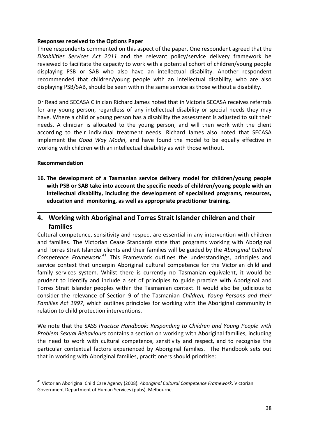Three respondents commented on this aspect of the paper. One respondent agreed that the *Disabilities Services Act 2011* and the relevant policy/service delivery framework be reviewed to facilitate the capacity to work with a potential cohort of children/young people displaying PSB or SAB who also have an intellectual disability. Another respondent recommended that children/young people with an intellectual disability, who are also displaying PSB/SAB, should be seen within the same service as those without a disability.

Dr Read and SECASA Clinician Richard James noted that in Victoria SECASA receives referrals for any young person, regardless of any intellectual disability or special needs they may have. Where a child or young person has a disability the assessment is adjusted to suit their needs. A clinician is allocated to the young person, and will then work with the client according to their individual treatment needs. Richard James also noted that SECASA implement the *Good Way Model*, and have found the model to be equally effective in working with children with an intellectual disability as with those without.

#### **Recommendation**

 $\overline{\phantom{a}}$ 

**16. The development of a Tasmanian service delivery model for children/young people with PSB or SAB take into account the specific needs of children/young people with an intellectual disability, including the development of specialised programs, resources, education and monitoring, as well as appropriate practitioner training.**

## <span id="page-37-0"></span>**4. Working with Aboriginal and Torres Strait Islander children and their families**

Cultural competence, sensitivity and respect are essential in any intervention with children and families. The Victorian Cease Standards state that programs working with Aboriginal and Torres Strait Islander clients and their families will be guided by the *Aboriginal Cultural Competence Framework.*<sup>41</sup> This Framework outlines the understandings, principles and service context that underpin Aboriginal cultural competence for the Victorian child and family services system. Whilst there is currently no Tasmanian equivalent, it would be prudent to identify and include a set of principles to guide practice with Aboriginal and Torres Strait Islander peoples within the Tasmanian context. It would also be judicious to consider the relevance of Section 9 of the Tasmanian *Children, Young Persons and their Families Act 1997*, which outlines principles for working with the Aboriginal community in relation to child protection interventions.

We note that the SASS *Practice Handbook: Responding to Children and Young People with Problem Sexual Behaviours* contains a section on working with Aboriginal families, including the need to work with cultural competence, sensitivity and respect, and to recognise the particular contextual factors experienced by Aboriginal families. The Handbook sets out that in working with Aboriginal families, practitioners should prioritise:

<sup>41</sup> Victorian Aboriginal Child Care Agency (2008). *Aboriginal Cultural Competence Framework*. Victorian Government Department of Human Services (pubs). Melbourne.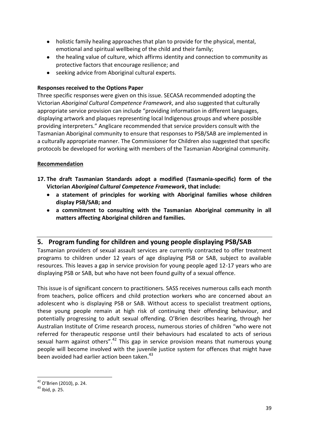- holistic family healing approaches that plan to provide for the physical, mental, emotional and spiritual wellbeing of the child and their family;
- the healing value of culture, which affirms identity and connection to community as protective factors that encourage resilience; and
- seeking advice from Aboriginal cultural experts.

Three specific responses were given on this issue. SECASA recommended adopting the Victorian *Aboriginal Cultural Competence Framework*, and also suggested that culturally appropriate service provision can include "providing information in different languages, displaying artwork and plaques representing local Indigenous groups and where possible providing interpreters." Anglicare recommended that service providers consult with the Tasmanian Aboriginal community to ensure that responses to PSB/SAB are implemented in a culturally appropriate manner. The Commissioner for Children also suggested that specific protocols be developed for working with members of the Tasmanian Aboriginal community.

#### **Recommendation**

- **17. The draft Tasmanian Standards adopt a modified (Tasmania-specific) form of the Victorian** *Aboriginal Cultural Competence Framework***, that include:**
	- **a statement of principles for working with Aboriginal families whose children display PSB/SAB; and**
	- **a commitment to consulting with the Tasmanian Aboriginal community in all matters affecting Aboriginal children and families.**

## <span id="page-38-0"></span>**5. Program funding for children and young people displaying PSB/SAB**

Tasmanian providers of sexual assault services are currently contracted to offer treatment programs to children under 12 years of age displaying PSB or SAB, subject to available resources. This leaves a gap in service provision for young people aged 12-17 years who are displaying PSB or SAB, but who have not been found guilty of a sexual offence.

This issue is of significant concern to practitioners. SASS receives numerous calls each month from teachers, police officers and child protection workers who are concerned about an adolescent who is displaying PSB or SAB. Without access to specialist treatment options, these young people remain at high risk of continuing their offending behaviour, and potentially progressing to adult sexual offending. O'Brien describes hearing, through her Australian Institute of Crime research process, numerous stories of children "who were not referred for therapeutic response until their behaviours had escalated to acts of serious sexual harm against others".<sup>42</sup> This gap in service provision means that numerous young people will become involved with the juvenile justice system for offences that might have been avoided had earlier action been taken.<sup>43</sup>

 $\overline{\phantom{a}}$ <sup>42</sup> O'Brien (2010), p. 24.

 $43$  Ibid, p. 25.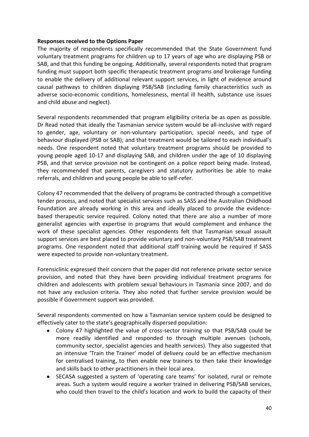The majority of respondents specifically recommended that the State Government fund voluntary treatment programs for children up to 17 years of age who are displaying PSB or SAB, and that this funding be ongoing. Additionally, several respondents noted that program funding must support both specific therapeutic treatment programs *and* brokerage funding to enable the delivery of additional relevant support services, in light of evidence around causal pathways to children displaying PSB/SAB (including family characteristics such as adverse socio-economic conditions, homelessness, mental ill health, substance use issues and child abuse and neglect).

Several respondents recommended that program eligibility criteria be as open as possible. Dr Read noted that ideally the Tasmanian service system would be all-inclusive with regard to gender, age, voluntary or non-voluntary participation, special needs, and type of behaviour displayed (PSB or SAB); and that treatment would be tailored to each individual's needs. One respondent noted that voluntary treatment programs should be provided to young people aged 10-17 and displaying SAB, and children under the age of 10 displaying PSB, and that service provision not be contingent on a police report being made. Instead, they recommended that parents, caregivers and statutory authorities be able to make referrals, and children and young people be able to self-refer.

Colony 47 recommended that the delivery of programs be contracted through a competitive tender process, and noted that specialist services such as SASS and the Australian Childhood Foundation are already working in this area and ideally placed to provide the evidencebased therapeutic service required. Colony noted that there are also a number of more generalist agencies with expertise in programs that would complement and enhance the work of these specialist agencies. Other respondents felt that Tasmanian sexual assault support services are best placed to provide voluntary and non-voluntary PSB/SAB treatment programs. One respondent noted that additional staff training would be required if SASS were expected to provide non-voluntary treatment.

Forensiclinic expressed their concern that the paper did not reference private sector service provision, and noted that they have been providing individual treatment programs for children and adolescents with problem sexual behaviours in Tasmania since 2007, and do not have any exclusion criteria. They also noted that further service provision would be possible if Government support was provided.

Several respondents commented on how a Tasmanian service system could be designed to effectively cater to the state's geographically dispersed population:

- Colony 47 highlighted the value of cross-sector training so that PSB/SAB could be more readily identified and responded to through multiple avenues (schools, community sector, specialist agencies and health services). They also suggested that an intensive 'Train the Trainer' model of delivery could be an effective mechanism for centralised training, to then enable new trainers to then take their knowledge and skills back to other practitioners in their local area.
- SECASA suggested a system of 'operating care teams' for isolated, rural or remote areas. Such a system would require a worker trained in delivering PSB/SAB services, who could then travel to the child's location and work to build the capacity of their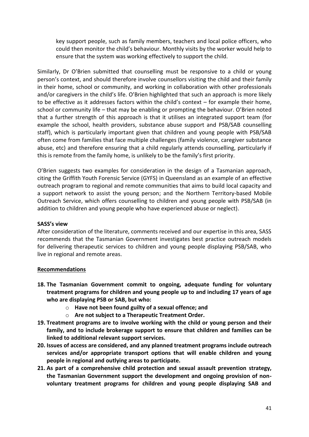key support people, such as family members, teachers and local police officers, who could then monitor the child's behaviour. Monthly visits by the worker would help to ensure that the system was working effectively to support the child.

Similarly, Dr O'Brien submitted that counselling must be responsive to a child or young person's context, and should therefore involve counsellors visiting the child and their family in their home, school or community, and working in collaboration with other professionals and/or caregivers in the child's life. O'Brien highlighted that such an approach is more likely to be effective as it addresses factors within the child's context – for example their home, school or community life – that may be enabling or prompting the behaviour. O'Brien noted that a further strength of this approach is that it utilises an integrated support team (for example the school, health providers, substance abuse support and PSB/SAB counselling staff), which is particularly important given that children and young people with PSB/SAB often come from families that face multiple challenges (family violence, caregiver substance abuse, etc) and therefore ensuring that a child regularly attends counselling, particularly if this is remote from the family home, is unlikely to be the family's first priority.

O'Brien suggests two examples for consideration in the design of a Tasmanian approach, citing the Griffith Youth Forensic Service (GYFS) in Queensland as an example of an effective outreach program to regional and remote communities that aims to build local capacity and a support network to assist the young person; and the Northern Territory-based Mobile Outreach Service, which offers counselling to children and young people with PSB/SAB (in addition to children and young people who have experienced abuse or neglect).

#### **SASS's view**

After consideration of the literature, comments received and our expertise in this area, SASS recommends that the Tasmanian Government investigates best practice outreach models for delivering therapeutic services to children and young people displaying PSB/SAB, who live in regional and remote areas.

#### **Recommendations**

- **18. The Tasmanian Government commit to ongoing, adequate funding for voluntary treatment programs for children and young people up to and including 17 years of age who are displaying PSB or SAB, but who:**
	- o **Have not been found guilty of a sexual offence; and**
	- o **Are not subject to a Therapeutic Treatment Order.**
- **19. Treatment programs are to involve working with the child or young person and their family, and to include brokerage support to ensure that children and families can be linked to additional relevant support services.**
- **20. Issues of access are considered, and any planned treatment programs include outreach services and/or appropriate transport options that will enable children and young people in regional and outlying areas to participate.**
- **21. As part of a comprehensive child protection and sexual assault prevention strategy, the Tasmanian Government support the development and ongoing provision of nonvoluntary treatment programs for children and young people displaying SAB and**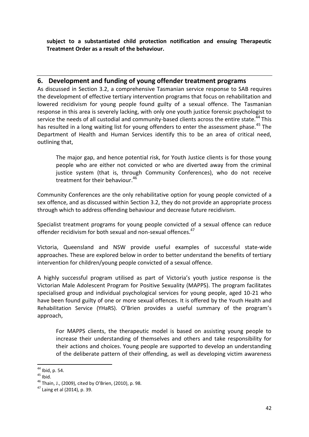**subject to a substantiated child protection notification and ensuing Therapeutic Treatment Order as a result of the behaviour.** 

## <span id="page-41-0"></span>**6. Development and funding of young offender treatment programs**

As discussed in Section 3.2, a comprehensive Tasmanian service response to SAB requires the development of effective tertiary intervention programs that focus on rehabilitation and lowered recidivism for young people found guilty of a sexual offence. The Tasmanian response in this area is severely lacking, with only one youth justice forensic psychologist to service the needs of all custodial and community-based clients across the entire state.<sup>44</sup> This has resulted in a long waiting list for young offenders to enter the assessment phase.<sup>45</sup> The Department of Health and Human Services identify this to be an area of critical need, outlining that,

The major gap, and hence potential risk, for Youth Justice clients is for those young people who are either not convicted or who are diverted away from the criminal justice system (that is, through Community Conferences), who do not receive treatment for their behaviour.<sup>46</sup>

Community Conferences are the only rehabilitative option for young people convicted of a sex offence, and as discussed within Section 3.2, they do not provide an appropriate process through which to address offending behaviour and decrease future recidivism.

Specialist treatment programs for young people convicted of a sexual offence can reduce offender recidivism for both sexual and non-sexual offences.<sup>47</sup>

Victoria, Queensland and NSW provide useful examples of successful state-wide approaches. These are explored below in order to better understand the benefits of tertiary intervention for children/young people convicted of a sexual offence.

A highly successful program utilised as part of Victoria's youth justice response is the Victorian Male Adolescent Program for Positive Sexuality (MAPPS). The program facilitates specialised group and individual psychological services for young people, aged 10-21 who have been found guilty of one or more sexual offences. It is offered by the Youth Health and Rehabilitation Service (YHaRS). O'Brien provides a useful summary of the program's approach,

For MAPPS clients, the therapeutic model is based on assisting young people to increase their understanding of themselves and others and take responsibility for their actions and choices. Young people are supported to develop an understanding of the deliberate pattern of their offending, as well as developing victim awareness

1

 $44$  Ibid, p. 54.

 $45$  Ibid.

<sup>46</sup> Thain, J., (2009), cited by O'Brien, (2010), p. 98.

<sup>47</sup> Laing et al (2014), p. 39.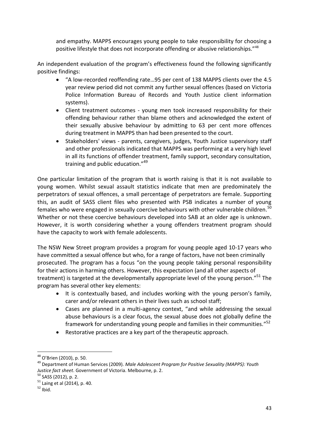and empathy. MAPPS encourages young people to take responsibility for choosing a positive lifestyle that does not incorporate offending or abusive relationships."<sup>48</sup>

An independent evaluation of the program's effectiveness found the following significantly positive findings:

- "A low-recorded reoffending rate…95 per cent of 138 MAPPS clients over the 4.5 year review period did not commit any further sexual offences (based on Victoria Police Information Bureau of Records and Youth Justice client information systems).
- Client treatment outcomes young men took increased responsibility for their offending behaviour rather than blame others and acknowledged the extent of their sexually abusive behaviour by admitting to 63 per cent more offences during treatment in MAPPS than had been presented to the court.
- Stakeholders' views parents, caregivers, judges, Youth Justice supervisory staff and other professionals indicated that MAPPS was performing at a very high level in all its functions of offender treatment, family support, secondary consultation, training and public education."<sup>49</sup>

One particular limitation of the program that is worth raising is that it is not available to young women. Whilst sexual assault statistics indicate that men are predominately the perpetrators of sexual offences, a small percentage of perpetrators are female. Supporting this, an audit of SASS client files who presented with PSB indicates a number of young females who were engaged in sexually coercive behaviours with other vulnerable children.<sup>50</sup> Whether or not these coercive behaviours developed into SAB at an older age is unknown. However, it is worth considering whether a young offenders treatment program should have the capacity to work with female adolescents.

The NSW New Street program provides a program for young people aged 10-17 years who have committed a sexual offence but who, for a range of factors, have not been criminally prosecuted. The program has a focus "on the young people taking personal responsibility for their actions in harming others. However, this expectation (and all other aspects of treatment) is targeted at the developmentally appropriate level of the young person."<sup>51</sup> The program has several other key elements:

- It is contextually based, and includes working with the young person's family, carer and/or relevant others in their lives such as school staff;
- Cases are planned in a multi-agency context, "and while addressing the sexual abuse behaviours is a clear focus, the sexual abuse does not globally define the framework for understanding young people and families in their communities."<sup>52</sup>
- Restorative practices are a key part of the therapeutic approach.

1

<sup>48</sup> O'Brien (2010), p. 50.

<sup>49</sup> Department of Human Services (2009). *Male Adolescent Program for Positive Sexuality (MAPPS): Youth Justice fact sheet*. Government of Victoria. Melbourne, p. 2.

<sup>50</sup> SASS (2012), p. 2.

 $51$  Laing et al (2014), p. 40.

 $52$  Ibid.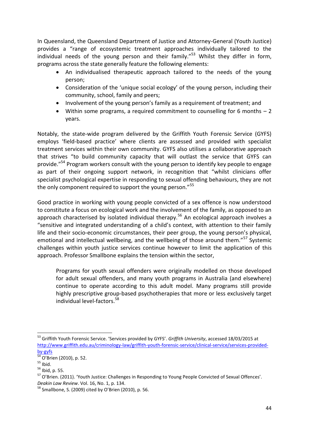In Queensland, the Queensland Department of Justice and Attorney-General (Youth Justice) provides a "range of ecosystemic treatment approaches individually tailored to the individual needs of the young person and their family."<sup>53</sup> Whilst they differ in form, programs across the state generally feature the following elements:

- An individualised therapeutic approach tailored to the needs of the young person;
- Consideration of the 'unique social ecology' of the young person, including their community, school, family and peers;
- Involvement of the young person's family as a requirement of treatment; and
- Within some programs, a required commitment to counselling for 6 months 2 years.

Notably, the state-wide program delivered by the Griffith Youth Forensic Service (GYFS) employs 'field-based practice' where clients are assessed and provided with specialist treatment services within their own community. GYFS also utilises a collaborative approach that strives "to build community capacity that will outlast the service that GYFS can provide."<sup>54</sup> Program workers consult with the young person to identify key people to engage as part of their ongoing support network, in recognition that "whilst clinicians offer specialist psychological expertise in responding to sexual offending behaviours, they are not the only component required to support the young person."<sup>55</sup>

Good practice in working with young people convicted of a sex offence is now understood to constitute a focus on ecological work and the involvement of the family, as opposed to an approach characterised by isolated individual therapy.<sup>56</sup> An ecological approach involves a "sensitive and integrated understanding of a child's context, with attention to their family life and their socio-economic circumstances, their peer group, the young person's physical, emotional and intellectual wellbeing, and the wellbeing of those around them."<sup>57</sup> Systemic challenges within youth justice services continue however to limit the application of this approach. Professor Smallbone explains the tension within the sector,

Programs for youth sexual offenders were originally modelled on those developed for adult sexual offenders, and many youth programs in Australia (and elsewhere) continue to operate according to this adult model. Many programs still provide highly prescriptive group-based psychotherapies that more or less exclusively target individual level-factors.<sup>58</sup>

 $\overline{\phantom{a}}$ <sup>53</sup> Griffith Youth Forensic Service. 'Services provided by GYFS'. *Griffith University*, accessed 18/03/2015 at [http://www.griffith.edu.au/criminology-law/griffith-youth-forensic-service/clinical-service/services-provided](http://www.griffith.edu.au/criminology-law/griffith-youth-forensic-service/clinical-service/services-provided-by-gyfs)[by-gyfs](http://www.griffith.edu.au/criminology-law/griffith-youth-forensic-service/clinical-service/services-provided-by-gyfs)

<sup>&</sup>lt;sup>54</sup> O'Brien (2010), p. 52.

 $55$  Ibid.

<sup>56</sup> Ibid, p. 55.

<sup>&</sup>lt;sup>57</sup> O'Brien. (2011). 'Youth Justice: Challenges in Responding to Young People Convicted of Sexual Offences'. *Deakin Law Review*. Vol. 16, No. 1, p. 134.

 $58$  Smallbone, S. (2009) cited by O'Brien (2010), p. 56.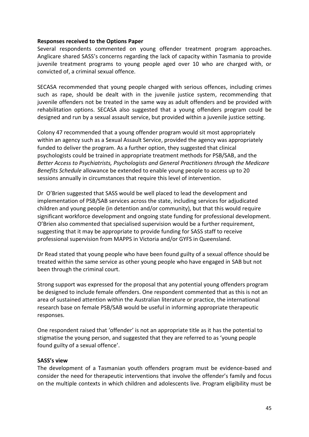Several respondents commented on young offender treatment program approaches. Anglicare shared SASS's concerns regarding the lack of capacity within Tasmania to provide juvenile treatment programs to young people aged over 10 who are charged with, or convicted of, a criminal sexual offence.

SECASA recommended that young people charged with serious offences, including crimes such as rape, should be dealt with in the juvenile justice system, recommending that juvenile offenders not be treated in the same way as adult offenders and be provided with rehabilitation options. SECASA also suggested that a young offenders program could be designed and run by a sexual assault service, but provided within a juvenile justice setting.

Colony 47 recommended that a young offender program would sit most appropriately within an agency such as a Sexual Assault Service, provided the agency was appropriately funded to deliver the program. As a further option, they suggested that clinical psychologists could be trained in appropriate treatment methods for PSB/SAB, and the *Better Access to Psychiatrists, Psychologists and General Practitioners through the Medicare Benefits Schedule* allowance be extended to enable young people to access up to 20 sessions annually in circumstances that require this level of intervention.

Dr O'Brien suggested that SASS would be well placed to lead the development and implementation of PSB/SAB services across the state, including services for adjudicated children and young people (in detention and/or community), but that this would require significant workforce development and ongoing state funding for professional development. O'Brien also commented that specialised supervision would be a further requirement, suggesting that it may be appropriate to provide funding for SASS staff to receive professional supervision from MAPPS in Victoria and/or GYFS in Queensland.

Dr Read stated that young people who have been found guilty of a sexual offence should be treated within the same service as other young people who have engaged in SAB but not been through the criminal court.

Strong support was expressed for the proposal that any potential young offenders program be designed to include female offenders. One respondent commented that as this is not an area of sustained attention within the Australian literature or practice, the international research base on female PSB/SAB would be useful in informing appropriate therapeutic responses.

One respondent raised that 'offender' is not an appropriate title as it has the potential to stigmatise the young person, and suggested that they are referred to as 'young people found guilty of a sexual offence'.

#### **SASS's view**

The development of a Tasmanian youth offenders program must be evidence-based and consider the need for therapeutic interventions that involve the offender's family and focus on the multiple contexts in which children and adolescents live. Program eligibility must be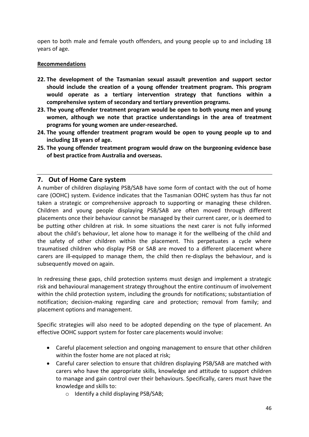open to both male and female youth offenders, and young people up to and including 18 years of age.

#### **Recommendations**

- **22. The development of the Tasmanian sexual assault prevention and support sector should include the creation of a young offender treatment program. This program would operate as a tertiary intervention strategy that functions within a comprehensive system of secondary and tertiary prevention programs.**
- **23. The young offender treatment program would be open to both young men and young women, although we note that practice understandings in the area of treatment programs for young women are under-researched.**
- **24. The young offender treatment program would be open to young people up to and including 18 years of age.**
- **25. The young offender treatment program would draw on the burgeoning evidence base of best practice from Australia and overseas.**

## <span id="page-45-0"></span>**7. Out of Home Care system**

A number of children displaying PSB/SAB have some form of contact with the out of home care (OOHC) system. Evidence indicates that the Tasmanian OOHC system has thus far not taken a strategic or comprehensive approach to supporting or managing these children. Children and young people displaying PSB/SAB are often moved through different placements once their behaviour cannot be managed by their current carer, or is deemed to be putting other children at risk. In some situations the next carer is not fully informed about the child's behaviour, let alone how to manage it for the wellbeing of the child and the safety of other children within the placement. This perpetuates a cycle where traumatised children who display PSB or SAB are moved to a different placement where carers are ill-equipped to manage them, the child then re-displays the behaviour, and is subsequently moved on again.

In redressing these gaps, child protection systems must design and implement a strategic risk and behavioural management strategy throughout the entire continuum of involvement within the child protection system, including the grounds for notifications; substantiation of notification; decision-making regarding care and protection; removal from family; and placement options and management.

Specific strategies will also need to be adopted depending on the type of placement. An effective OOHC support system for foster care placements would involve:

- Careful placement selection and ongoing management to ensure that other children within the foster home are not placed at risk;
- Careful carer selection to ensure that children displaying PSB/SAB are matched with carers who have the appropriate skills, knowledge and attitude to support children to manage and gain control over their behaviours. Specifically, carers must have the knowledge and skills to:
	- o Identify a child displaying PSB/SAB;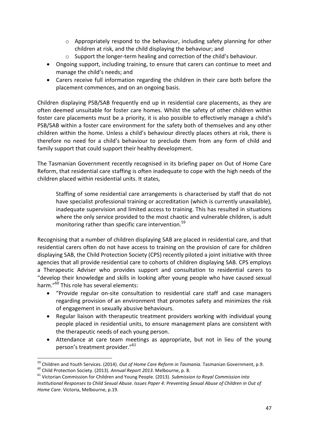- $\circ$  Appropriately respond to the behaviour, including safety planning for other children at risk, and the child displaying the behaviour; and
- o Support the longer-term healing and correction of the child's behaviour.
- Ongoing support, including training, to ensure that carers can continue to meet and manage the child's needs; and
- Carers receive full information regarding the children in their care both before the placement commences, and on an ongoing basis.

Children displaying PSB/SAB frequently end up in residential care placements, as they are often deemed unsuitable for foster care homes. Whilst the safety of other children within foster care placements must be a priority, it is also possible to effectively manage a child's PSB/SAB within a foster care environment for the safety both of themselves and any other children within the home. Unless a child's behaviour directly places others at risk, there is therefore no need for a child's behaviour to preclude them from any form of child and family support that could support their healthy development.

The Tasmanian Government recently recognised in its briefing paper on Out of Home Care Reform, that residential care staffing is often inadequate to cope with the high needs of the children placed within residential units. It states,

Staffing of some residential care arrangements is characterised by staff that do not have specialist professional training or accreditation (which is currently unavailable), inadequate supervision and limited access to training. This has resulted in situations where the only service provided to the most chaotic and vulnerable children, is adult monitoring rather than specific care intervention.<sup>59</sup>

Recognising that a number of children displaying SAB are placed in residential care, and that residential carers often do not have access to training on the provision of care for children displaying SAB, the Child Protection Society (CPS) recently piloted a joint initiative with three agencies that all provide residential care to cohorts of children displaying SAB. CPS employs a Therapeutic Adviser who provides support and consultation to residential carers to "develop their knowledge and skills in looking after young people who have caused sexual harm."<sup>60</sup> This role has several elements:

- "Provide regular on-site consultation to residential care staff and case managers regarding provision of an environment that promotes safety and minimizes the risk of engagement in sexually abusive behaviours.
- Regular liaison with therapeutic treatment providers working with individual young people placed in residential units, to ensure management plans are consistent with the therapeutic needs of each young person.
- Attendance at care team meetings as appropriate, but not in lieu of the young person's treatment provider."<sup>61</sup>

**<sup>.</sup>** <sup>59</sup> Children and Youth Services. (2014). *Out of Home Care Reform in Tasmania*. Tasmanian Government, p.9.

<sup>60</sup> Child Protection Society. (2013). *Annual Report 2013*. Melbourne, p. 8.

<sup>61</sup> Victorian Commission for Children and Young People. (2013). *Submission to Royal Commission into Institutional Responses to Child Sexual Abuse. Issues Paper 4: Preventing Sexual Abuse of Children in Out of Home Care*. Victoria, Melbourne, p.19.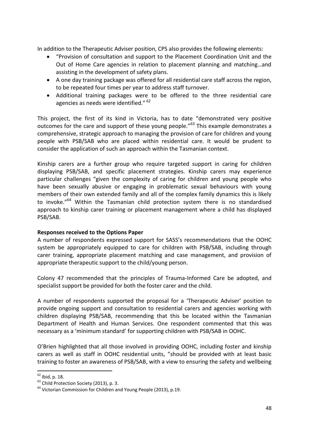In addition to the Therapeutic Adviser position, CPS also provides the following elements:

- "Provision of consultation and support to the Placement Coordination Unit and the Out of Home Care agencies in relation to placement planning and matching…and assisting in the development of safety plans.
- A one day training package was offered for all residential care staff across the region, to be repeated four times per year to address staff turnover.
- Additional training packages were to be offered to the three residential care agencies as needs were identified." <sup>62</sup>

This project, the first of its kind in Victoria, has to date "demonstrated very positive outcomes for the care and support of these young people."<sup>63</sup> This example demonstrates a comprehensive, strategic approach to managing the provision of care for children and young people with PSB/SAB who are placed within residential care. It would be prudent to consider the application of such an approach within the Tasmanian context.

Kinship carers are a further group who require targeted support in caring for children displaying PSB/SAB, and specific placement strategies. Kinship carers may experience particular challenges "given the complexity of caring for children and young people who have been sexually abusive or engaging in problematic sexual behaviours with young members of their own extended family and all of the complex family dynamics this is likely to invoke."<sup>64</sup> Within the Tasmanian child protection system there is no standardised approach to kinship carer training or placement management where a child has displayed PSB/SAB.

#### **Responses received to the Options Paper**

A number of respondents expressed support for SASS's recommendations that the OOHC system be appropriately equipped to care for children with PSB/SAB, including through carer training, appropriate placement matching and case management, and provision of appropriate therapeutic support to the child/young person.

Colony 47 recommended that the principles of Trauma-Informed Care be adopted, and specialist support be provided for both the foster carer and the child.

A number of respondents supported the proposal for a 'Therapeutic Adviser' position to provide ongoing support and consultation to residential carers and agencies working with children displaying PSB/SAB, recommending that this be located within the Tasmanian Department of Health and Human Services. One respondent commented that this was necessary as a 'minimum standard' for supporting children with PSB/SAB in OOHC.

O'Brien highlighted that all those involved in providing OOHC, including foster and kinship carers as well as staff in OOHC residential units, "should be provided with at least basic training to foster an awareness of PSB/SAB, with a view to ensuring the safety and wellbeing

**.** 

 $62$  Ibid, p. 18.

<sup>&</sup>lt;sup>63</sup> Child Protection Society (2013), p. 3.

 $64$  Victorian Commission for Children and Young People (2013), p.19.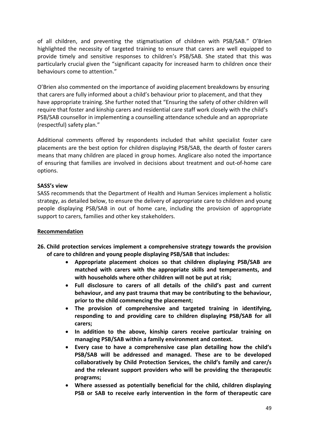of all children, and preventing the stigmatisation of children with PSB/SAB." O'Brien highlighted the necessity of targeted training to ensure that carers are well equipped to provide timely and sensitive responses to children's PSB/SAB. She stated that this was particularly crucial given the "significant capacity for increased harm to children once their behaviours come to attention."

O'Brien also commented on the importance of avoiding placement breakdowns by ensuring that carers are fully informed about a child's behaviour prior to placement, and that they have appropriate training. She further noted that "Ensuring the safety of other children will require that foster and kinship carers and residential care staff work closely with the child's PSB/SAB counsellor in implementing a counselling attendance schedule and an appropriate (respectful) safety plan."

Additional comments offered by respondents included that whilst specialist foster care placements are the best option for children displaying PSB/SAB, the dearth of foster carers means that many children are placed in group homes. Anglicare also noted the importance of ensuring that families are involved in decisions about treatment and out-of-home care options.

#### **SASS's view**

SASS recommends that the Department of Health and Human Services implement a holistic strategy, as detailed below, to ensure the delivery of appropriate care to children and young people displaying PSB/SAB in out of home care, including the provision of appropriate support to carers, families and other key stakeholders.

#### **Recommendation**

- **26. Child protection services implement a comprehensive strategy towards the provision of care to children and young people displaying PSB/SAB that includes:** 
	- **Appropriate placement choices so that children displaying PSB/SAB are matched with carers with the appropriate skills and temperaments, and with households where other children will not be put at risk;**
	- **Full disclosure to carers of all details of the child's past and current behaviour, and any past trauma that may be contributing to the behaviour, prior to the child commencing the placement;**
	- **The provision of comprehensive and targeted training in identifying, responding to and providing care to children displaying PSB/SAB for all carers;**
	- **In addition to the above, kinship carers receive particular training on managing PSB/SAB within a family environment and context.**
	- **Every case to have a comprehensive case plan detailing how the child's PSB/SAB will be addressed and managed. These are to be developed collaboratively by Child Protection Services, the child's family and carer/s and the relevant support providers who will be providing the therapeutic programs;**
	- **Where assessed as potentially beneficial for the child, children displaying PSB or SAB to receive early intervention in the form of therapeutic care**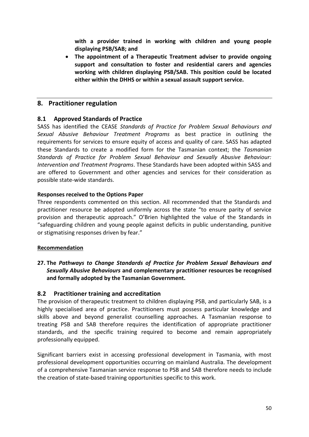**with a provider trained in working with children and young people displaying PSB/SAB; and**

 **The appointment of a Therapeutic Treatment adviser to provide ongoing support and consultation to foster and residential carers and agencies working with children displaying PSB/SAB. This position could be located either within the DHHS or within a sexual assault support service.** 

## <span id="page-49-0"></span>**8. Practitioner regulation**

#### <span id="page-49-1"></span>**8.1 Approved Standards of Practice**

SASS has identified the CEASE *Standards of Practice for Problem Sexual Behaviours and Sexual Abusive Behaviour Treatment Programs* as best practice in outlining the requirements for services to ensure equity of access and quality of care. SASS has adapted these Standards to create a modified form for the Tasmanian context; the *Tasmanian Standards of Practice for Problem Sexual Behaviour and Sexually Abusive Behaviour: Intervention and Treatment Programs*. These Standards have been adopted within SASS and are offered to Government and other agencies and services for their consideration as possible state-wide standards.

#### **Responses received to the Options Paper**

Three respondents commented on this section. All recommended that the Standards and practitioner resource be adopted uniformly across the state "to ensure parity of service provision and therapeutic approach." O'Brien highlighted the value of the Standards in "safeguarding children and young people against deficits in public understanding, punitive or stigmatising responses driven by fear."

#### **Recommendation**

**27. The** *Pathways to Change Standards of Practice for Problem Sexual Behaviours and Sexually Abusive Behaviours* **and complementary practitioner resources be recognised and formally adopted by the Tasmanian Government.**

#### <span id="page-49-2"></span>**8.2 Practitioner training and accreditation**

The provision of therapeutic treatment to children displaying PSB, and particularly SAB, is a highly specialised area of practice. Practitioners must possess particular knowledge and skills above and beyond generalist counselling approaches. A Tasmanian response to treating PSB and SAB therefore requires the identification of appropriate practitioner standards, and the specific training required to become and remain appropriately professionally equipped.

Significant barriers exist in accessing professional development in Tasmania, with most professional development opportunities occurring on mainland Australia. The development of a comprehensive Tasmanian service response to PSB and SAB therefore needs to include the creation of state-based training opportunities specific to this work.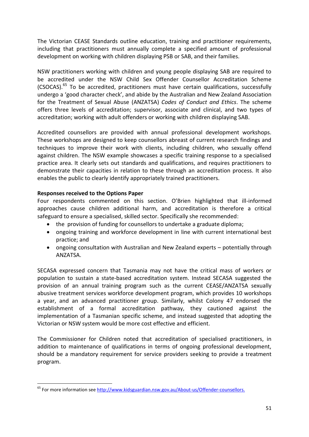The Victorian CEASE Standards outline education, training and practitioner requirements, including that practitioners must annually complete a specified amount of professional development on working with children displaying PSB or SAB, and their families.

NSW practitioners working with children and young people displaying SAB are required to be accredited under the NSW Child Sex Offender Counsellor Accreditation Scheme (CSOCAS).<sup>65</sup> To be accredited, practitioners must have certain qualifications, successfully undergo a 'good character check', and abide by the Australian and New Zealand Association for the Treatment of Sexual Abuse (ANZATSA) *Codes of Conduct and Ethics*. The scheme offers three levels of accreditation; supervisor, associate and clinical, and two types of accreditation; working with adult offenders or working with children displaying SAB.

Accredited counsellors are provided with annual professional development workshops. These workshops are designed to keep counsellors abreast of current research findings and techniques to improve their work with clients, including children, who sexually offend against children. The NSW example showcases a specific training response to a specialised practice area. It clearly sets out standards and qualifications, and requires practitioners to demonstrate their capacities in relation to these through an accreditation process. It also enables the public to clearly identify appropriately trained practitioners.

#### **Responses received to the Options Paper**

Four respondents commented on this section. O'Brien highlighted that ill-informed approaches cause children additional harm, and accreditation is therefore a critical safeguard to ensure a specialised, skilled sector. Specifically she recommended:

- the provision of funding for counsellors to undertake a graduate diploma;
- ongoing training and workforce development in line with current international best practice; and
- ongoing consultation with Australian and New Zealand experts potentially through ANZATSA.

SECASA expressed concern that Tasmania may not have the critical mass of workers or population to sustain a state-based accreditation system. Instead SECASA suggested the provision of an annual training program such as the current CEASE/ANZATSA sexually abusive treatment services workforce development program, which provides 10 workshops a year, and an advanced practitioner group. Similarly, whilst Colony 47 endorsed the establishment of a formal accreditation pathway, they cautioned against the implementation of a Tasmanian specific scheme, and instead suggested that adopting the Victorian or NSW system would be more cost effective and efficient.

The Commissioner for Children noted that accreditation of specialised practitioners, in addition to maintenance of qualifications in terms of ongoing professional development, should be a mandatory requirement for service providers seeking to provide a treatment program.

**<sup>.</sup>** <sup>65</sup> For more information see [http://www.kidsguardian.nsw.gov.au/About-us/Offender-counsellors.](http://www.kidsguardian.nsw.gov.au/About-us/Offender-counsellors)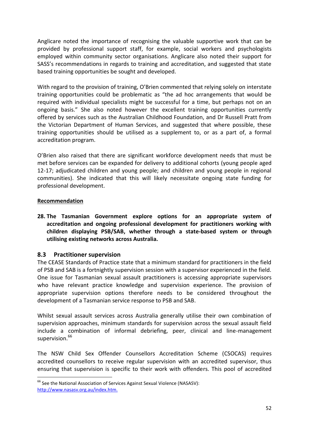Anglicare noted the importance of recognising the valuable supportive work that can be provided by professional support staff, for example, social workers and psychologists employed within community sector organisations. Anglicare also noted their support for SASS's recommendations in regards to training and accreditation, and suggested that state based training opportunities be sought and developed.

With regard to the provision of training, O'Brien commented that relying solely on interstate training opportunities could be problematic as "the ad hoc arrangements that would be required with individual specialists might be successful for a time, but perhaps not on an ongoing basis." She also noted however the excellent training opportunities currently offered by services such as the Australian Childhood Foundation, and Dr Russell Pratt from the Victorian Department of Human Services, and suggested that where possible, these training opportunities should be utilised as a supplement to, or as a part of, a formal accreditation program.

O'Brien also raised that there are significant workforce development needs that must be met before services can be expanded for delivery to additional cohorts (young people aged 12-17; adjudicated children and young people; and children and young people in regional communities). She indicated that this will likely necessitate ongoing state funding for professional development.

#### **Recommendation**

**28. The Tasmanian Government explore options for an appropriate system of accreditation and ongoing professional development for practitioners working with children displaying PSB/SAB, whether through a state-based system or through utilising existing networks across Australia.** 

#### <span id="page-51-0"></span>**8.3 Practitioner supervision**

The CEASE Standards of Practice state that a minimum standard for practitioners in the field of PSB and SAB is a fortnightly supervision session with a supervisor experienced in the field. One issue for Tasmanian sexual assault practitioners is accessing appropriate supervisors who have relevant practice knowledge and supervision experience. The provision of appropriate supervision options therefore needs to be considered throughout the development of a Tasmanian service response to PSB and SAB.

Whilst sexual assault services across Australia generally utilise their own combination of supervision approaches, minimum standards for supervision across the sexual assault field include a combination of informal debriefing, peer, clinical and line-management supervision. $66$ 

The NSW Child Sex Offender Counsellors Accreditation Scheme (CSOCAS) requires accredited counsellors to receive regular supervision with an accredited supervisor, thus ensuring that supervision is specific to their work with offenders. This pool of accredited

 $\overline{\phantom{a}}$ <sup>66</sup> See the National Association of Services Against Sexual Violence (NASASV): [http://www.nasasv.org.au/index.htm.](http://www.nasasv.org.au/index.htm)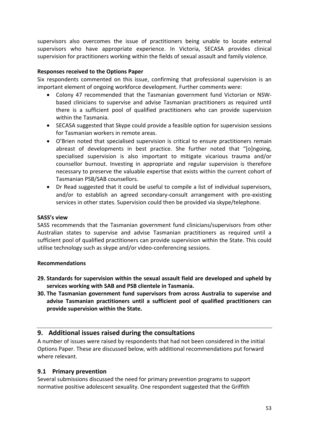supervisors also overcomes the issue of practitioners being unable to locate external supervisors who have appropriate experience. In Victoria, SECASA provides clinical supervision for practitioners working within the fields of sexual assault and family violence.

#### **Responses received to the Options Paper**

Six respondents commented on this issue, confirming that professional supervision is an important element of ongoing workforce development. Further comments were:

- Colony 47 recommended that the Tasmanian government fund Victorian or NSWbased clinicians to supervise and advise Tasmanian practitioners as required until there is a sufficient pool of qualified practitioners who can provide supervision within the Tasmania.
- SECASA suggested that Skype could provide a feasible option for supervision sessions for Tasmanian workers in remote areas.
- O'Brien noted that specialised supervision is critical to ensure practitioners remain abreast of developments in best practice. She further noted that "[o]ngoing, specialised supervision is also important to mitigate vicarious trauma and/or counsellor burnout. Investing in appropriate and regular supervision is therefore necessary to preserve the valuable expertise that exists within the current cohort of Tasmanian PSB/SAB counsellors.
- Dr Read suggested that it could be useful to compile a list of individual supervisors, and/or to establish an agreed secondary-consult arrangement with pre-existing services in other states. Supervision could then be provided via skype/telephone.

#### **SASS's view**

SASS recommends that the Tasmanian government fund clinicians/supervisors from other Australian states to supervise and advise Tasmanian practitioners as required until a sufficient pool of qualified practitioners can provide supervision within the State. This could utilise technology such as skype and/or video-conferencing sessions.

#### **Recommendations**

- **29. Standards for supervision within the sexual assault field are developed and upheld by services working with SAB and PSB clientele in Tasmania.**
- **30. The Tasmanian government fund supervisors from across Australia to supervise and advise Tasmanian practitioners until a sufficient pool of qualified practitioners can provide supervision within the State.**

#### <span id="page-52-0"></span>**9. Additional issues raised during the consultations**

A number of issues were raised by respondents that had not been considered in the initial Options Paper. These are discussed below, with additional recommendations put forward where relevant.

#### <span id="page-52-1"></span>**9.1 Primary prevention**

Several submissions discussed the need for primary prevention programs to support normative positive adolescent sexuality. One respondent suggested that the Griffith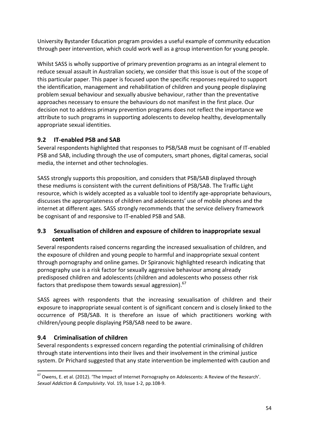University Bystander Education program provides a useful example of community education through peer intervention, which could work well as a group intervention for young people.

Whilst SASS is wholly supportive of primary prevention programs as an integral element to reduce sexual assault in Australian society, we consider that this issue is out of the scope of this particular paper. This paper is focused upon the specific responses required to support the identification, management and rehabilitation of children and young people displaying problem sexual behaviour and sexually abusive behaviour, rather than the preventative approaches necessary to ensure the behaviours do not manifest in the first place. Our decision not to address primary prevention programs does not reflect the importance we attribute to such programs in supporting adolescents to develop healthy, developmentally appropriate sexual identities.

## <span id="page-53-0"></span>**9.2 IT-enabled PSB and SAB**

Several respondents highlighted that responses to PSB/SAB must be cognisant of IT-enabled PSB and SAB, including through the use of computers, smart phones, digital cameras, social media, the internet and other technologies.

SASS strongly supports this proposition, and considers that PSB/SAB displayed through these mediums is consistent with the current definitions of PSB/SAB. The Traffic Light resource, which is widely accepted as a valuable tool to identify age-appropriate behaviours, discusses the appropriateness of children and adolescents' use of mobile phones and the internet at different ages. SASS strongly recommends that the service delivery framework be cognisant of and responsive to IT-enabled PSB and SAB.

## <span id="page-53-1"></span>**9.3 Sexualisation of children and exposure of children to inappropriate sexual content**

Several respondents raised concerns regarding the increased sexualisation of children, and the exposure of children and young people to harmful and inappropriate sexual content through pornography and online games. Dr Spiranovic highlighted research indicating that pornography use is a risk factor for sexually aggressive behaviour among already predisposed children and adolescents (children and adolescents who possess other risk factors that predispose them towards sexual aggression).<sup>67</sup>

SASS agrees with respondents that the increasing sexualisation of children and their exposure to inappropriate sexual content is of significant concern and is closely linked to the occurrence of PSB/SAB. It is therefore an issue of which practitioners working with children/young people displaying PSB/SAB need to be aware.

## <span id="page-53-2"></span>**9.4 Criminalisation of children**

Several respondents s expressed concern regarding the potential criminalising of children through state interventions into their lives and their involvement in the criminal justice system. Dr Prichard suggested that any state intervention be implemented with caution and

**<sup>.</sup>**  $^{67}$  Owens, E. et al. (2012). 'The Impact of Internet Pornography on Adolescents: A Review of the Research'. *Sexual Addiction & Compulsivity*. Vol. 19, Issue 1-2, pp.108-9.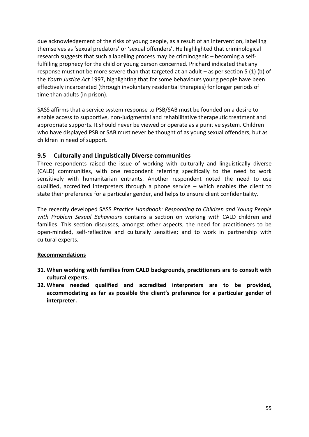due acknowledgement of the risks of young people, as a result of an intervention, labelling themselves as 'sexual predators' or 'sexual offenders'. He highlighted that criminological research suggests that such a labelling process may be criminogenic – becoming a selffulfilling prophecy for the child or young person concerned. Prichard indicated that any response must not be more severe than that targeted at an adult – as per section 5 (1) (b) of the *Youth Justice Act* 1997, highlighting that for some behaviours young people have been effectively incarcerated (through involuntary residential therapies) for longer periods of time than adults (in prison).

SASS affirms that a service system response to PSB/SAB must be founded on a desire to enable access to supportive, non-judgmental and rehabilitative therapeutic treatment and appropriate supports. It should never be viewed or operate as a punitive system. Children who have displayed PSB or SAB must never be thought of as young sexual offenders, but as children in need of support.

## <span id="page-54-0"></span>**9.5 Culturally and Linguistically Diverse communities**

Three respondents raised the issue of working with culturally and linguistically diverse (CALD) communities, with one respondent referring specifically to the need to work sensitively with humanitarian entrants. Another respondent noted the need to use qualified, accredited interpreters through a phone service – which enables the client to state their preference for a particular gender, and helps to ensure client confidentiality.

The recently developed SASS *Practice Handbook: Responding to Children and Young People with Problem Sexual Behaviours* contains a section on working with CALD children and families. This section discusses, amongst other aspects, the need for practitioners to be open-minded, self-reflective and culturally sensitive; and to work in partnership with cultural experts.

## **Recommendations**

- **31. When working with families from CALD backgrounds, practitioners are to consult with cultural experts.**
- **32. Where needed qualified and accredited interpreters are to be provided, accommodating as far as possible the client's preference for a particular gender of interpreter.**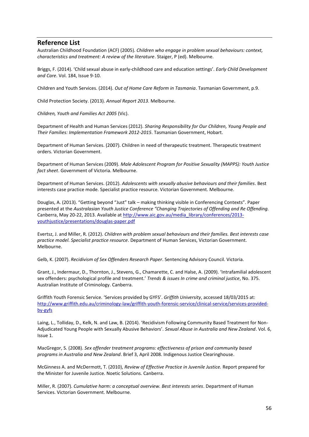#### <span id="page-55-0"></span>**Reference List**

Australian Childhood Foundation (ACF) (2005). *Children who engage in problem sexual behaviours: context, characteristics and treatment: A review of the literature*. Staiger, P (ed). Melbourne.

Briggs, F. (2014). 'Child sexual abuse in early-childhood care and education settings'. *Early Child Development and Care*. Vol. 184, Issue 9-10.

Children and Youth Services. (2014). *Out of Home Care Reform in Tasmania*. Tasmanian Government, p.9.

Child Protection Society. (2013). *Annual Report 2013*. Melbourne.

*Children, Youth and Families Act 2005* (Vic).

Department of Health and Human Services (2012). *Sharing Responsibility for Our Children, Young People and Their Families: Implementation Framework 2012-2015*. Tasmanian Government, Hobart.

Department of Human Services. (2007). Children in need of therapeutic treatment. Therapeutic treatment orders. Victorian Government.

Department of Human Services (2009). *Male Adolescent Program for Positive Sexuality (MAPPS): Youth Justice fact sheet*. Government of Victoria. Melbourne.

Department of Human Services. (2012). *Adolescents with sexually abusive behaviours and their families*. Best interests case practice mode. Specialist practice resource. Victorian Government. Melbourne.

Douglas, A. (2013). "Getting beyond "Just" talk – making thinking visible in Conferencing Contexts". Paper presented at the *Australasian Youth Justice Conference "Changing Trajectories of Offending and Re Offending.* Canberra, May 20-22, 2013. Available at [http://www.aic.gov.au/media\\_library/conferences/2013](http://www.aic.gov.au/media_library/conferences/2013-youthjustice/presentations/douglas-paper.pdf) [youthjustice/presentations/douglas-paper.pdf](http://www.aic.gov.au/media_library/conferences/2013-youthjustice/presentations/douglas-paper.pdf)

Evertsz, J. and Miller, R. (2012). *Children with problem sexual behaviours and their families. Best interests case practice model. Specialist practice resource*. Department of Human Services, Victorian Government. Melbourne.

Gelb, K. (2007). *Recidivism of Sex Offenders Research Paper*. Sentencing Advisory Council. Victoria.

Grant, J., Indermaur, D., Thornton, J., Stevens, G., Chamarette, C. and Halse, A. (2009). 'Intrafamilial adolescent sex offenders: psychological profile and treatment.' *Trends & issues In crime and criminal justice*, No. 375. Australian Institute of Criminology. Canberra.

Griffith Youth Forensic Service. 'Services provided by GYFS'. *Griffith University*, accessed 18/03/2015 at: [http://www.griffith.edu.au/criminology-law/griffith-youth-forensic-service/clinical-service/services-provided](http://www.griffith.edu.au/criminology-law/griffith-youth-forensic-service/clinical-service/services-provided-by-gyfs)[by-gyfs](http://www.griffith.edu.au/criminology-law/griffith-youth-forensic-service/clinical-service/services-provided-by-gyfs)

Laing, L., Tolliday, D., Kelk, N. and Law, B. (2014). 'Recidivism Following Community Based Treatment for Non-Adjudicated Young People with Sexually Abusive Behaviors'. *Sexual Abuse in Australia and New Zealand*. Vol. 6, Issue 1.

MacGregor, S. (2008). *Sex offender treatment programs: effectiveness of prison and community based programs in Australia and New Zealand*. Brief 3, April 2008. Indigenous Justice Clearinghouse.

McGinness A. and McDermott, T. (2010), *Review of Effective Practice in Juvenile Justice.* Report prepared for the Minister for Juvenile Justice. Noetic Solutions. Canberra.

Miller, R. (2007). *Cumulative harm: a conceptual overview. Best interests series*. Department of Human Services. Victorian Government. Melbourne.